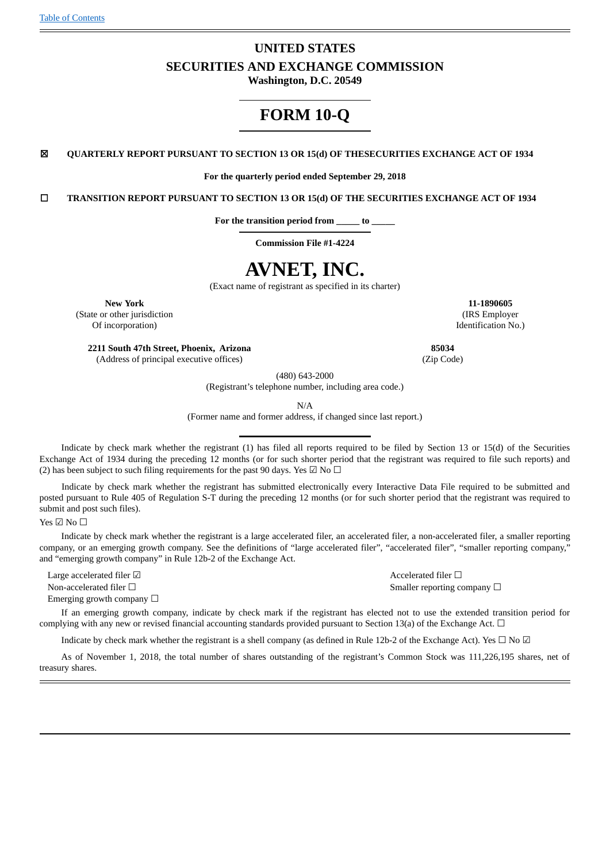# **UNITED STATES SECURITIES AND EXCHANGE COMMISSION**

**Washington, D.C. 20549**

# **FORM 10-Q**

☒ **QUARTERLY REPORT PURSUANT TO SECTION 13 OR 15(d) OF THESECURITIES EXCHANGE ACT OF 1934**

**For the quarterly period ended September 29, 2018**

☐ **TRANSITION REPORT PURSUANT TO SECTION 13 OR 15(d) OF THE SECURITIES EXCHANGE ACT OF 1934**

**For the transition period from \_\_\_\_\_ to \_\_\_\_\_**

**Commission File #1-4224**

# **AVNET, INC.**

(Exact name of registrant as specified in its charter)

**New York 11-1890605** (State or other jurisdiction (IRS Employer Of incorporation) Identification No.)

**2211 South 47th Street, Phoenix, Arizona 85034** (Address of principal executive offices) (Zip Code)

(480) 643-2000

(Registrant's telephone number, including area code.)

N/A

(Former name and former address, if changed since last report.)

Indicate by check mark whether the registrant (1) has filed all reports required to be filed by Section 13 or 15(d) of the Securities Exchange Act of 1934 during the preceding 12 months (or for such shorter period that the registrant was required to file such reports) and (2) has been subject to such filing requirements for the past 90 days. Yes  $\boxdot$  No  $\Box$ 

Indicate by check mark whether the registrant has submitted electronically every Interactive Data File required to be submitted and posted pursuant to Rule 405 of Regulation S-T during the preceding 12 months (or for such shorter period that the registrant was required to submit and post such files).

Yes ☑ No □

Indicate by check mark whether the registrant is a large accelerated filer, an accelerated filer, a non-accelerated filer, a smaller reporting company, or an emerging growth company. See the definitions of "large accelerated filer", "accelerated filer", "smaller reporting company," and "emerging growth company" in Rule 12b-2 of the Exchange Act.

Large accelerated filer ☑  $\Box$ Emerging growth company  $\Box$ 

Non-accelerated filer □  $□$  Smaller reporting company □

If an emerging growth company, indicate by check mark if the registrant has elected not to use the extended transition period for complying with any new or revised financial accounting standards provided pursuant to Section 13(a) of the Exchange Act.  $\Box$ 

Indicate by check mark whether the registrant is a shell company (as defined in Rule 12b-2 of the Exchange Act). Yes  $\Box$  No  $\Box$ 

As of November 1, 2018, the total number of shares outstanding of the registrant's Common Stock was 111,226,195 shares, net of treasury shares.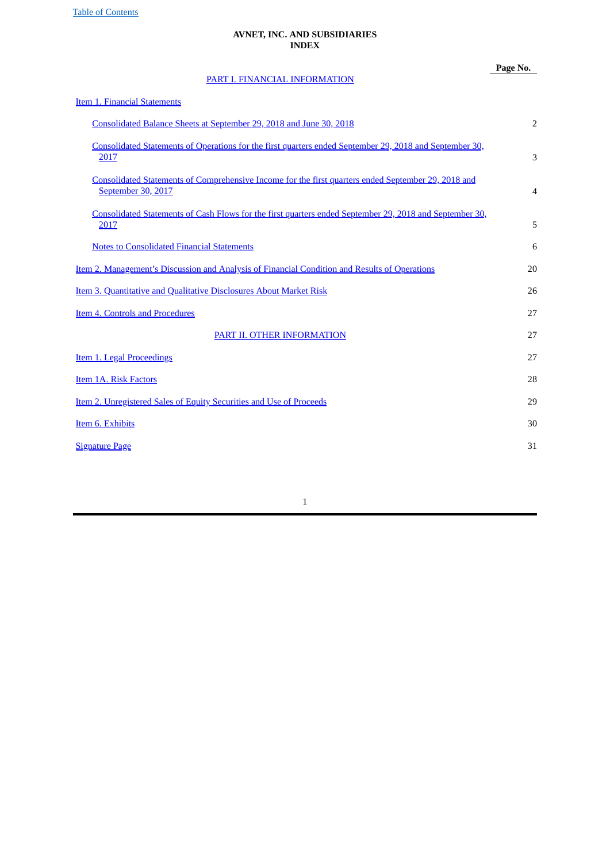# **AVNET, INC. AND SUBSIDIARIES INDEX**

**Page No.**

# PART I. FINANCIAL [INFORMATION](#page-2-0)

<span id="page-1-0"></span>

| <b>Item 1. Financial Statements</b>                                                                                              |                |
|----------------------------------------------------------------------------------------------------------------------------------|----------------|
| Consolidated Balance Sheets at September 29, 2018 and June 30, 2018                                                              | 2              |
| Consolidated Statements of Operations for the first quarters ended September 29, 2018 and September 30,<br>2017                  | 3              |
| Consolidated Statements of Comprehensive Income for the first quarters ended September 29, 2018 and<br><b>September 30, 2017</b> | $\overline{4}$ |
| Consolidated Statements of Cash Flows for the first quarters ended September 29, 2018 and September 30,<br>2017                  | 5              |
| <b>Notes to Consolidated Financial Statements</b>                                                                                | 6              |
| <u>Item 2. Management's Discussion and Analysis of Financial Condition and Results of Operations</u>                             | 20             |
| Item 3. Quantitative and Qualitative Disclosures About Market Risk                                                               | 26             |
| <b>Item 4. Controls and Procedures</b>                                                                                           | 27             |
| PART II. OTHER INFORMATION                                                                                                       | 27             |
| Item 1. Legal Proceedings                                                                                                        | 27             |
| Item 1A. Risk Factors                                                                                                            | 28             |
| Item 2. Unregistered Sales of Equity Securities and Use of Proceeds                                                              | 29             |
| Item 6. Exhibits                                                                                                                 | 30             |
| <b>Signature Page</b>                                                                                                            | 31             |
|                                                                                                                                  |                |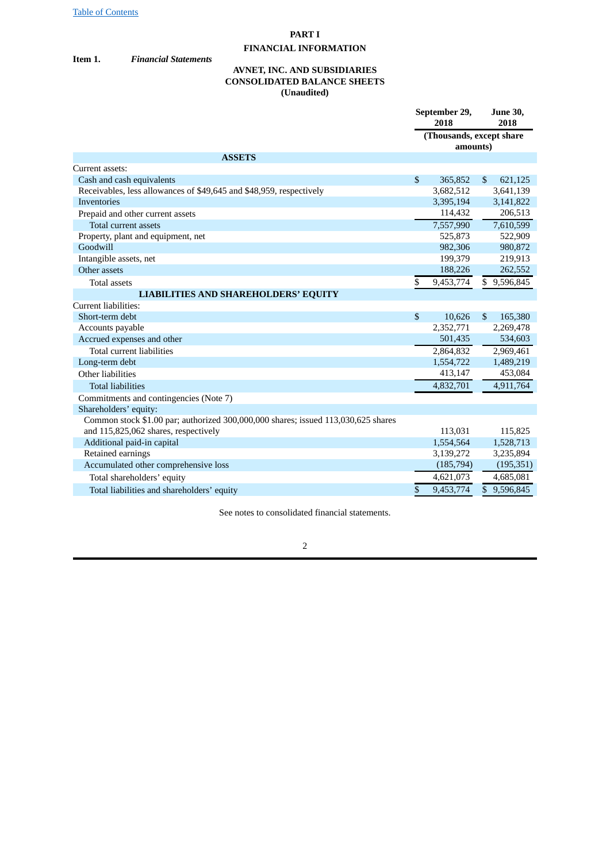# <span id="page-2-2"></span><span id="page-2-0"></span>**PART I**

# **FINANCIAL INFORMATION**

**Item 1.** *Financial Statements*

# <span id="page-2-1"></span>**AVNET, INC. AND SUBSIDIARIES CONSOLIDATED BALANCE SHEETS (Unaudited)**

|                                                                                   |                          | September 29,<br>2018 |                | <b>June 30,</b><br>2018 |
|-----------------------------------------------------------------------------------|--------------------------|-----------------------|----------------|-------------------------|
|                                                                                   | (Thousands, except share |                       |                |                         |
|                                                                                   |                          | amounts)              |                |                         |
| <b>ASSETS</b>                                                                     |                          |                       |                |                         |
| Current assets:                                                                   |                          |                       |                |                         |
| Cash and cash equivalents                                                         | \$                       | 365,852               | $\mathbb{S}$   | 621,125                 |
| Receivables, less allowances of \$49,645 and \$48,959, respectively               |                          | 3,682,512             |                | 3,641,139               |
| Inventories                                                                       |                          | 3,395,194             |                | 3,141,822               |
| Prepaid and other current assets                                                  |                          | 114,432               |                | 206,513                 |
| Total current assets                                                              |                          | 7,557,990             |                | 7,610,599               |
| Property, plant and equipment, net                                                |                          | 525,873               |                | 522,909                 |
| Goodwill                                                                          |                          | 982,306               |                | 980,872                 |
| Intangible assets, net                                                            |                          | 199,379               |                | 219,913                 |
| Other assets                                                                      |                          | 188,226               |                | 262,552                 |
| <b>Total assets</b>                                                               | \$                       | 9,453,774             |                | \$9,596,845             |
| <b>LIABILITIES AND SHAREHOLDERS' EQUITY</b>                                       |                          |                       |                |                         |
| Current liabilities:                                                              |                          |                       |                |                         |
| Short-term debt                                                                   | \$                       | 10,626                | $\mathfrak{S}$ | 165,380                 |
| Accounts payable                                                                  |                          | 2,352,771             |                | 2,269,478               |
| Accrued expenses and other                                                        |                          | 501,435               |                | 534,603                 |
| Total current liabilities                                                         |                          | 2,864,832             |                | 2,969,461               |
| Long-term debt                                                                    |                          | 1,554,722             |                | 1,489,219               |
| Other liabilities                                                                 |                          | 413,147               |                | 453,084                 |
| <b>Total liabilities</b>                                                          |                          | 4,832,701             |                | 4,911,764               |
| Commitments and contingencies (Note 7)                                            |                          |                       |                |                         |
| Shareholders' equity:                                                             |                          |                       |                |                         |
| Common stock \$1.00 par; authorized 300,000,000 shares; issued 113,030,625 shares |                          |                       |                |                         |
| and 115,825,062 shares, respectively                                              |                          | 113,031               |                | 115,825                 |
| Additional paid-in capital                                                        |                          | 1,554,564             |                | 1,528,713               |
| Retained earnings                                                                 |                          | 3,139,272             |                | 3,235,894               |
| Accumulated other comprehensive loss                                              |                          | (185, 794)            |                | (195, 351)              |
| Total shareholders' equity                                                        |                          | 4,621,073             |                | 4,685,081               |
| Total liabilities and shareholders' equity                                        | \$                       | 9,453,774             |                | \$9,596,845             |
|                                                                                   |                          |                       |                |                         |

See notes to consolidated financial statements.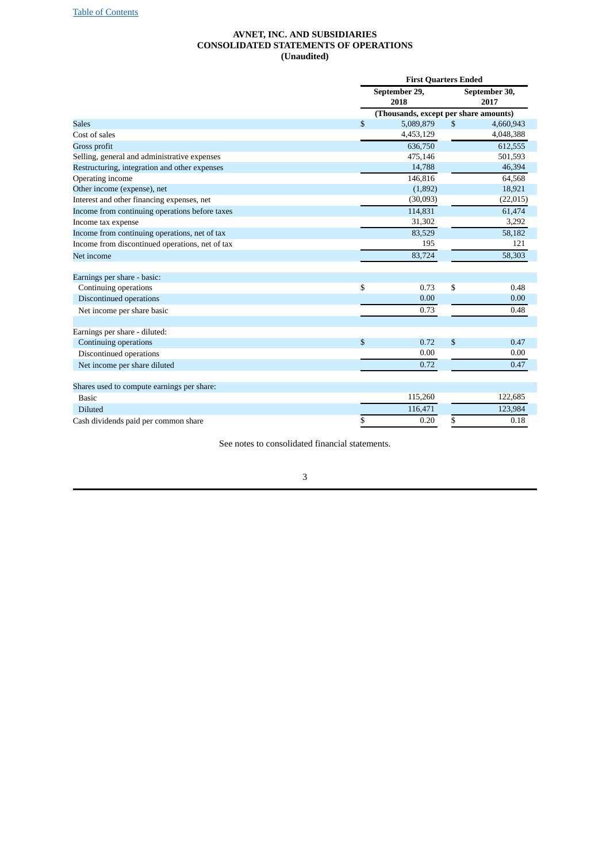# <span id="page-3-0"></span>**AVNET, INC. AND SUBSIDIARIES CONSOLIDATED STATEMENTS OF OPERATIONS (Unaudited)**

|                                                 |               | <b>First Quarters Ended</b>           |        |           |  |  |
|-------------------------------------------------|---------------|---------------------------------------|--------|-----------|--|--|
|                                                 |               | September 29,<br>2018                 |        |           |  |  |
|                                                 |               | (Thousands, except per share amounts) |        |           |  |  |
| <b>Sales</b>                                    | $\mathbb{S}$  | 5,089,879                             | \$     | 4,660,943 |  |  |
| Cost of sales                                   |               | 4,453,129                             |        | 4,048,388 |  |  |
| Gross profit                                    |               | 636,750                               |        | 612,555   |  |  |
| Selling, general and administrative expenses    |               | 475,146                               |        | 501,593   |  |  |
| Restructuring, integration and other expenses   |               | 14,788                                |        | 46,394    |  |  |
| Operating income                                |               | 146,816                               |        | 64,568    |  |  |
| Other income (expense), net                     |               | (1,892)                               |        | 18,921    |  |  |
| Interest and other financing expenses, net      |               | (30,093)                              |        | (22, 015) |  |  |
| Income from continuing operations before taxes  |               | 114,831                               |        | 61,474    |  |  |
| Income tax expense                              |               | 31,302                                | 3,292  |           |  |  |
| Income from continuing operations, net of tax   |               | 83,529                                | 58,182 |           |  |  |
| Income from discontinued operations, net of tax |               | 195                                   | 121    |           |  |  |
| Net income                                      |               | 83,724                                |        | 58,303    |  |  |
| Earnings per share - basic:                     |               |                                       |        |           |  |  |
| Continuing operations                           | \$            | 0.73                                  | \$     | 0.48      |  |  |
| <b>Discontinued operations</b>                  |               | 0.00                                  |        | 0.00      |  |  |
| Net income per share basic                      |               | 0.73                                  |        | 0.48      |  |  |
| Earnings per share - diluted:                   |               |                                       |        |           |  |  |
| Continuing operations                           | $\mathbf{\$}$ | 0.72                                  | \$     | 0.47      |  |  |
| Discontinued operations                         |               | 0.00                                  |        | 0.00      |  |  |
| Net income per share diluted                    |               | 0.72                                  |        | 0.47      |  |  |
| Shares used to compute earnings per share:      |               |                                       |        |           |  |  |
| <b>Basic</b>                                    |               | 115,260                               |        | 122,685   |  |  |
| <b>Diluted</b>                                  |               | 116,471                               |        | 123,984   |  |  |
| Cash dividends paid per common share            | \$            | 0.18                                  |        |           |  |  |

See notes to consolidated financial statements.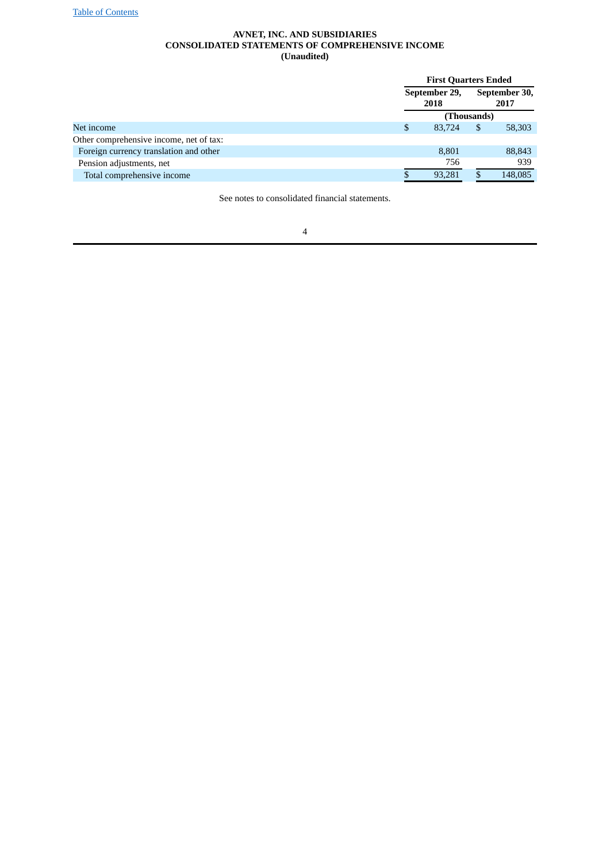# <span id="page-4-0"></span>**AVNET, INC. AND SUBSIDIARIES CONSOLIDATED STATEMENTS OF COMPREHENSIVE INCOME (Unaudited)**

|                                         |                       | <b>First Quarters Ended</b> |    |                       |  |  |
|-----------------------------------------|-----------------------|-----------------------------|----|-----------------------|--|--|
|                                         | September 29,<br>2018 |                             |    | September 30,<br>2017 |  |  |
|                                         |                       | (Thousands)                 |    |                       |  |  |
| Net income                              | \$                    | 83,724                      | \$ | 58,303                |  |  |
| Other comprehensive income, net of tax: |                       |                             |    |                       |  |  |
| Foreign currency translation and other  |                       | 8,801                       |    | 88,843                |  |  |
| Pension adjustments, net                |                       | 756                         |    | 939                   |  |  |
| Total comprehensive income              |                       | 93,281                      |    | 148,085               |  |  |

See notes to consolidated financial statements.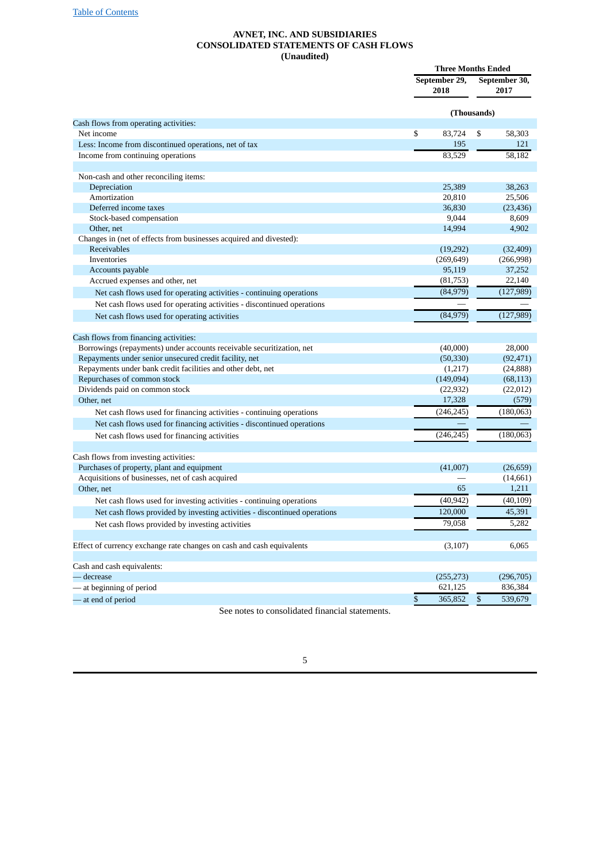# <span id="page-5-0"></span>**AVNET, INC. AND SUBSIDIARIES CONSOLIDATED STATEMENTS OF CASH FLOWS (Unaudited)**

| September 29,<br>September 30,<br>2017<br>2018<br>(Thousands)<br>Cash flows from operating activities:<br>\$<br>58,303<br>Net income<br>83,724<br>S<br>195<br>121<br>Less: Income from discontinued operations, net of tax<br>83,529<br>Income from continuing operations<br>58,182<br>Non-cash and other reconciling items:<br>Depreciation<br>25,389<br>38,263<br>Amortization<br>20,810<br>25,506<br>Deferred income taxes<br>36,830<br>(23, 436)<br>8,609<br>Stock-based compensation<br>9,044<br>14,994<br>4,902<br>Other, net<br>Changes in (net of effects from businesses acquired and divested):<br>Receivables<br>(19,292)<br>(32, 409)<br>Inventories<br>(269, 649)<br>(266,998)<br>95,119<br>37,252<br>Accounts payable<br>22,140<br>(81,753)<br>Accrued expenses and other, net<br>(84, 979)<br>(127, 989)<br>Net cash flows used for operating activities - continuing operations<br>Net cash flows used for operating activities - discontinued operations<br>(84, 979)<br>(127, 989)<br>Net cash flows used for operating activities<br>Cash flows from financing activities:<br>Borrowings (repayments) under accounts receivable securitization, net<br>(40,000)<br>28,000<br>Repayments under senior unsecured credit facility, net<br>(50, 330)<br>(92, 471)<br>Repayments under bank credit facilities and other debt, net<br>(24, 888)<br>(1,217)<br>Repurchases of common stock<br>(68, 113)<br>(149,094)<br>Dividends paid on common stock<br>(22, 932)<br>(22, 012)<br>17,328<br>(579)<br>Other, net<br>(246, 245)<br>(180,063)<br>Net cash flows used for financing activities - continuing operations<br>Net cash flows used for financing activities - discontinued operations<br>(246, 245)<br>(180,063)<br>Net cash flows used for financing activities<br>Cash flows from investing activities:<br>Purchases of property, plant and equipment<br>(41,007)<br>(26, 659)<br>Acquisitions of businesses, net of cash acquired<br>(14, 661)<br>65<br>1,211<br>Other, net<br>(40, 942)<br>(40, 109)<br>Net cash flows used for investing activities - continuing operations<br>45,391<br>120,000<br>Net cash flows provided by investing activities - discontinued operations<br>79,058<br>5,282<br>Net cash flows provided by investing activities<br>Effect of currency exchange rate changes on cash and cash equivalents<br>(3,107)<br>6,065<br>Cash and cash equivalents:<br>decrease<br>(255, 273)<br>(296, 705)<br>621,125<br>836,384<br>at beginning of period<br>$\mathbb{S}$<br>539,679<br>\$<br>365,852<br>- at end of period |  | <b>Three Months Ended</b> |  |  |  |
|--------------------------------------------------------------------------------------------------------------------------------------------------------------------------------------------------------------------------------------------------------------------------------------------------------------------------------------------------------------------------------------------------------------------------------------------------------------------------------------------------------------------------------------------------------------------------------------------------------------------------------------------------------------------------------------------------------------------------------------------------------------------------------------------------------------------------------------------------------------------------------------------------------------------------------------------------------------------------------------------------------------------------------------------------------------------------------------------------------------------------------------------------------------------------------------------------------------------------------------------------------------------------------------------------------------------------------------------------------------------------------------------------------------------------------------------------------------------------------------------------------------------------------------------------------------------------------------------------------------------------------------------------------------------------------------------------------------------------------------------------------------------------------------------------------------------------------------------------------------------------------------------------------------------------------------------------------------------------------------------------------------------------------------------------------------------------------------------------------------------------------------------------------------------------------------------------------------------------------------------------------------------------------------------------------------------------------------------------------------------------------------------------------------------------------------------------------------------------------------------------------------------------------------------------------------------|--|---------------------------|--|--|--|
|                                                                                                                                                                                                                                                                                                                                                                                                                                                                                                                                                                                                                                                                                                                                                                                                                                                                                                                                                                                                                                                                                                                                                                                                                                                                                                                                                                                                                                                                                                                                                                                                                                                                                                                                                                                                                                                                                                                                                                                                                                                                                                                                                                                                                                                                                                                                                                                                                                                                                                                                                                    |  |                           |  |  |  |
|                                                                                                                                                                                                                                                                                                                                                                                                                                                                                                                                                                                                                                                                                                                                                                                                                                                                                                                                                                                                                                                                                                                                                                                                                                                                                                                                                                                                                                                                                                                                                                                                                                                                                                                                                                                                                                                                                                                                                                                                                                                                                                                                                                                                                                                                                                                                                                                                                                                                                                                                                                    |  |                           |  |  |  |
|                                                                                                                                                                                                                                                                                                                                                                                                                                                                                                                                                                                                                                                                                                                                                                                                                                                                                                                                                                                                                                                                                                                                                                                                                                                                                                                                                                                                                                                                                                                                                                                                                                                                                                                                                                                                                                                                                                                                                                                                                                                                                                                                                                                                                                                                                                                                                                                                                                                                                                                                                                    |  |                           |  |  |  |
|                                                                                                                                                                                                                                                                                                                                                                                                                                                                                                                                                                                                                                                                                                                                                                                                                                                                                                                                                                                                                                                                                                                                                                                                                                                                                                                                                                                                                                                                                                                                                                                                                                                                                                                                                                                                                                                                                                                                                                                                                                                                                                                                                                                                                                                                                                                                                                                                                                                                                                                                                                    |  |                           |  |  |  |
|                                                                                                                                                                                                                                                                                                                                                                                                                                                                                                                                                                                                                                                                                                                                                                                                                                                                                                                                                                                                                                                                                                                                                                                                                                                                                                                                                                                                                                                                                                                                                                                                                                                                                                                                                                                                                                                                                                                                                                                                                                                                                                                                                                                                                                                                                                                                                                                                                                                                                                                                                                    |  |                           |  |  |  |
|                                                                                                                                                                                                                                                                                                                                                                                                                                                                                                                                                                                                                                                                                                                                                                                                                                                                                                                                                                                                                                                                                                                                                                                                                                                                                                                                                                                                                                                                                                                                                                                                                                                                                                                                                                                                                                                                                                                                                                                                                                                                                                                                                                                                                                                                                                                                                                                                                                                                                                                                                                    |  |                           |  |  |  |
|                                                                                                                                                                                                                                                                                                                                                                                                                                                                                                                                                                                                                                                                                                                                                                                                                                                                                                                                                                                                                                                                                                                                                                                                                                                                                                                                                                                                                                                                                                                                                                                                                                                                                                                                                                                                                                                                                                                                                                                                                                                                                                                                                                                                                                                                                                                                                                                                                                                                                                                                                                    |  |                           |  |  |  |
|                                                                                                                                                                                                                                                                                                                                                                                                                                                                                                                                                                                                                                                                                                                                                                                                                                                                                                                                                                                                                                                                                                                                                                                                                                                                                                                                                                                                                                                                                                                                                                                                                                                                                                                                                                                                                                                                                                                                                                                                                                                                                                                                                                                                                                                                                                                                                                                                                                                                                                                                                                    |  |                           |  |  |  |
|                                                                                                                                                                                                                                                                                                                                                                                                                                                                                                                                                                                                                                                                                                                                                                                                                                                                                                                                                                                                                                                                                                                                                                                                                                                                                                                                                                                                                                                                                                                                                                                                                                                                                                                                                                                                                                                                                                                                                                                                                                                                                                                                                                                                                                                                                                                                                                                                                                                                                                                                                                    |  |                           |  |  |  |
|                                                                                                                                                                                                                                                                                                                                                                                                                                                                                                                                                                                                                                                                                                                                                                                                                                                                                                                                                                                                                                                                                                                                                                                                                                                                                                                                                                                                                                                                                                                                                                                                                                                                                                                                                                                                                                                                                                                                                                                                                                                                                                                                                                                                                                                                                                                                                                                                                                                                                                                                                                    |  |                           |  |  |  |
|                                                                                                                                                                                                                                                                                                                                                                                                                                                                                                                                                                                                                                                                                                                                                                                                                                                                                                                                                                                                                                                                                                                                                                                                                                                                                                                                                                                                                                                                                                                                                                                                                                                                                                                                                                                                                                                                                                                                                                                                                                                                                                                                                                                                                                                                                                                                                                                                                                                                                                                                                                    |  |                           |  |  |  |
|                                                                                                                                                                                                                                                                                                                                                                                                                                                                                                                                                                                                                                                                                                                                                                                                                                                                                                                                                                                                                                                                                                                                                                                                                                                                                                                                                                                                                                                                                                                                                                                                                                                                                                                                                                                                                                                                                                                                                                                                                                                                                                                                                                                                                                                                                                                                                                                                                                                                                                                                                                    |  |                           |  |  |  |
|                                                                                                                                                                                                                                                                                                                                                                                                                                                                                                                                                                                                                                                                                                                                                                                                                                                                                                                                                                                                                                                                                                                                                                                                                                                                                                                                                                                                                                                                                                                                                                                                                                                                                                                                                                                                                                                                                                                                                                                                                                                                                                                                                                                                                                                                                                                                                                                                                                                                                                                                                                    |  |                           |  |  |  |
|                                                                                                                                                                                                                                                                                                                                                                                                                                                                                                                                                                                                                                                                                                                                                                                                                                                                                                                                                                                                                                                                                                                                                                                                                                                                                                                                                                                                                                                                                                                                                                                                                                                                                                                                                                                                                                                                                                                                                                                                                                                                                                                                                                                                                                                                                                                                                                                                                                                                                                                                                                    |  |                           |  |  |  |
|                                                                                                                                                                                                                                                                                                                                                                                                                                                                                                                                                                                                                                                                                                                                                                                                                                                                                                                                                                                                                                                                                                                                                                                                                                                                                                                                                                                                                                                                                                                                                                                                                                                                                                                                                                                                                                                                                                                                                                                                                                                                                                                                                                                                                                                                                                                                                                                                                                                                                                                                                                    |  |                           |  |  |  |
|                                                                                                                                                                                                                                                                                                                                                                                                                                                                                                                                                                                                                                                                                                                                                                                                                                                                                                                                                                                                                                                                                                                                                                                                                                                                                                                                                                                                                                                                                                                                                                                                                                                                                                                                                                                                                                                                                                                                                                                                                                                                                                                                                                                                                                                                                                                                                                                                                                                                                                                                                                    |  |                           |  |  |  |
|                                                                                                                                                                                                                                                                                                                                                                                                                                                                                                                                                                                                                                                                                                                                                                                                                                                                                                                                                                                                                                                                                                                                                                                                                                                                                                                                                                                                                                                                                                                                                                                                                                                                                                                                                                                                                                                                                                                                                                                                                                                                                                                                                                                                                                                                                                                                                                                                                                                                                                                                                                    |  |                           |  |  |  |
|                                                                                                                                                                                                                                                                                                                                                                                                                                                                                                                                                                                                                                                                                                                                                                                                                                                                                                                                                                                                                                                                                                                                                                                                                                                                                                                                                                                                                                                                                                                                                                                                                                                                                                                                                                                                                                                                                                                                                                                                                                                                                                                                                                                                                                                                                                                                                                                                                                                                                                                                                                    |  |                           |  |  |  |
|                                                                                                                                                                                                                                                                                                                                                                                                                                                                                                                                                                                                                                                                                                                                                                                                                                                                                                                                                                                                                                                                                                                                                                                                                                                                                                                                                                                                                                                                                                                                                                                                                                                                                                                                                                                                                                                                                                                                                                                                                                                                                                                                                                                                                                                                                                                                                                                                                                                                                                                                                                    |  |                           |  |  |  |
|                                                                                                                                                                                                                                                                                                                                                                                                                                                                                                                                                                                                                                                                                                                                                                                                                                                                                                                                                                                                                                                                                                                                                                                                                                                                                                                                                                                                                                                                                                                                                                                                                                                                                                                                                                                                                                                                                                                                                                                                                                                                                                                                                                                                                                                                                                                                                                                                                                                                                                                                                                    |  |                           |  |  |  |
|                                                                                                                                                                                                                                                                                                                                                                                                                                                                                                                                                                                                                                                                                                                                                                                                                                                                                                                                                                                                                                                                                                                                                                                                                                                                                                                                                                                                                                                                                                                                                                                                                                                                                                                                                                                                                                                                                                                                                                                                                                                                                                                                                                                                                                                                                                                                                                                                                                                                                                                                                                    |  |                           |  |  |  |
|                                                                                                                                                                                                                                                                                                                                                                                                                                                                                                                                                                                                                                                                                                                                                                                                                                                                                                                                                                                                                                                                                                                                                                                                                                                                                                                                                                                                                                                                                                                                                                                                                                                                                                                                                                                                                                                                                                                                                                                                                                                                                                                                                                                                                                                                                                                                                                                                                                                                                                                                                                    |  |                           |  |  |  |
|                                                                                                                                                                                                                                                                                                                                                                                                                                                                                                                                                                                                                                                                                                                                                                                                                                                                                                                                                                                                                                                                                                                                                                                                                                                                                                                                                                                                                                                                                                                                                                                                                                                                                                                                                                                                                                                                                                                                                                                                                                                                                                                                                                                                                                                                                                                                                                                                                                                                                                                                                                    |  |                           |  |  |  |
|                                                                                                                                                                                                                                                                                                                                                                                                                                                                                                                                                                                                                                                                                                                                                                                                                                                                                                                                                                                                                                                                                                                                                                                                                                                                                                                                                                                                                                                                                                                                                                                                                                                                                                                                                                                                                                                                                                                                                                                                                                                                                                                                                                                                                                                                                                                                                                                                                                                                                                                                                                    |  |                           |  |  |  |
|                                                                                                                                                                                                                                                                                                                                                                                                                                                                                                                                                                                                                                                                                                                                                                                                                                                                                                                                                                                                                                                                                                                                                                                                                                                                                                                                                                                                                                                                                                                                                                                                                                                                                                                                                                                                                                                                                                                                                                                                                                                                                                                                                                                                                                                                                                                                                                                                                                                                                                                                                                    |  |                           |  |  |  |
|                                                                                                                                                                                                                                                                                                                                                                                                                                                                                                                                                                                                                                                                                                                                                                                                                                                                                                                                                                                                                                                                                                                                                                                                                                                                                                                                                                                                                                                                                                                                                                                                                                                                                                                                                                                                                                                                                                                                                                                                                                                                                                                                                                                                                                                                                                                                                                                                                                                                                                                                                                    |  |                           |  |  |  |
|                                                                                                                                                                                                                                                                                                                                                                                                                                                                                                                                                                                                                                                                                                                                                                                                                                                                                                                                                                                                                                                                                                                                                                                                                                                                                                                                                                                                                                                                                                                                                                                                                                                                                                                                                                                                                                                                                                                                                                                                                                                                                                                                                                                                                                                                                                                                                                                                                                                                                                                                                                    |  |                           |  |  |  |
|                                                                                                                                                                                                                                                                                                                                                                                                                                                                                                                                                                                                                                                                                                                                                                                                                                                                                                                                                                                                                                                                                                                                                                                                                                                                                                                                                                                                                                                                                                                                                                                                                                                                                                                                                                                                                                                                                                                                                                                                                                                                                                                                                                                                                                                                                                                                                                                                                                                                                                                                                                    |  |                           |  |  |  |
|                                                                                                                                                                                                                                                                                                                                                                                                                                                                                                                                                                                                                                                                                                                                                                                                                                                                                                                                                                                                                                                                                                                                                                                                                                                                                                                                                                                                                                                                                                                                                                                                                                                                                                                                                                                                                                                                                                                                                                                                                                                                                                                                                                                                                                                                                                                                                                                                                                                                                                                                                                    |  |                           |  |  |  |
|                                                                                                                                                                                                                                                                                                                                                                                                                                                                                                                                                                                                                                                                                                                                                                                                                                                                                                                                                                                                                                                                                                                                                                                                                                                                                                                                                                                                                                                                                                                                                                                                                                                                                                                                                                                                                                                                                                                                                                                                                                                                                                                                                                                                                                                                                                                                                                                                                                                                                                                                                                    |  |                           |  |  |  |
|                                                                                                                                                                                                                                                                                                                                                                                                                                                                                                                                                                                                                                                                                                                                                                                                                                                                                                                                                                                                                                                                                                                                                                                                                                                                                                                                                                                                                                                                                                                                                                                                                                                                                                                                                                                                                                                                                                                                                                                                                                                                                                                                                                                                                                                                                                                                                                                                                                                                                                                                                                    |  |                           |  |  |  |
|                                                                                                                                                                                                                                                                                                                                                                                                                                                                                                                                                                                                                                                                                                                                                                                                                                                                                                                                                                                                                                                                                                                                                                                                                                                                                                                                                                                                                                                                                                                                                                                                                                                                                                                                                                                                                                                                                                                                                                                                                                                                                                                                                                                                                                                                                                                                                                                                                                                                                                                                                                    |  |                           |  |  |  |
|                                                                                                                                                                                                                                                                                                                                                                                                                                                                                                                                                                                                                                                                                                                                                                                                                                                                                                                                                                                                                                                                                                                                                                                                                                                                                                                                                                                                                                                                                                                                                                                                                                                                                                                                                                                                                                                                                                                                                                                                                                                                                                                                                                                                                                                                                                                                                                                                                                                                                                                                                                    |  |                           |  |  |  |
|                                                                                                                                                                                                                                                                                                                                                                                                                                                                                                                                                                                                                                                                                                                                                                                                                                                                                                                                                                                                                                                                                                                                                                                                                                                                                                                                                                                                                                                                                                                                                                                                                                                                                                                                                                                                                                                                                                                                                                                                                                                                                                                                                                                                                                                                                                                                                                                                                                                                                                                                                                    |  |                           |  |  |  |
|                                                                                                                                                                                                                                                                                                                                                                                                                                                                                                                                                                                                                                                                                                                                                                                                                                                                                                                                                                                                                                                                                                                                                                                                                                                                                                                                                                                                                                                                                                                                                                                                                                                                                                                                                                                                                                                                                                                                                                                                                                                                                                                                                                                                                                                                                                                                                                                                                                                                                                                                                                    |  |                           |  |  |  |
|                                                                                                                                                                                                                                                                                                                                                                                                                                                                                                                                                                                                                                                                                                                                                                                                                                                                                                                                                                                                                                                                                                                                                                                                                                                                                                                                                                                                                                                                                                                                                                                                                                                                                                                                                                                                                                                                                                                                                                                                                                                                                                                                                                                                                                                                                                                                                                                                                                                                                                                                                                    |  |                           |  |  |  |
|                                                                                                                                                                                                                                                                                                                                                                                                                                                                                                                                                                                                                                                                                                                                                                                                                                                                                                                                                                                                                                                                                                                                                                                                                                                                                                                                                                                                                                                                                                                                                                                                                                                                                                                                                                                                                                                                                                                                                                                                                                                                                                                                                                                                                                                                                                                                                                                                                                                                                                                                                                    |  |                           |  |  |  |
|                                                                                                                                                                                                                                                                                                                                                                                                                                                                                                                                                                                                                                                                                                                                                                                                                                                                                                                                                                                                                                                                                                                                                                                                                                                                                                                                                                                                                                                                                                                                                                                                                                                                                                                                                                                                                                                                                                                                                                                                                                                                                                                                                                                                                                                                                                                                                                                                                                                                                                                                                                    |  |                           |  |  |  |
|                                                                                                                                                                                                                                                                                                                                                                                                                                                                                                                                                                                                                                                                                                                                                                                                                                                                                                                                                                                                                                                                                                                                                                                                                                                                                                                                                                                                                                                                                                                                                                                                                                                                                                                                                                                                                                                                                                                                                                                                                                                                                                                                                                                                                                                                                                                                                                                                                                                                                                                                                                    |  |                           |  |  |  |
|                                                                                                                                                                                                                                                                                                                                                                                                                                                                                                                                                                                                                                                                                                                                                                                                                                                                                                                                                                                                                                                                                                                                                                                                                                                                                                                                                                                                                                                                                                                                                                                                                                                                                                                                                                                                                                                                                                                                                                                                                                                                                                                                                                                                                                                                                                                                                                                                                                                                                                                                                                    |  |                           |  |  |  |
|                                                                                                                                                                                                                                                                                                                                                                                                                                                                                                                                                                                                                                                                                                                                                                                                                                                                                                                                                                                                                                                                                                                                                                                                                                                                                                                                                                                                                                                                                                                                                                                                                                                                                                                                                                                                                                                                                                                                                                                                                                                                                                                                                                                                                                                                                                                                                                                                                                                                                                                                                                    |  |                           |  |  |  |
|                                                                                                                                                                                                                                                                                                                                                                                                                                                                                                                                                                                                                                                                                                                                                                                                                                                                                                                                                                                                                                                                                                                                                                                                                                                                                                                                                                                                                                                                                                                                                                                                                                                                                                                                                                                                                                                                                                                                                                                                                                                                                                                                                                                                                                                                                                                                                                                                                                                                                                                                                                    |  |                           |  |  |  |
|                                                                                                                                                                                                                                                                                                                                                                                                                                                                                                                                                                                                                                                                                                                                                                                                                                                                                                                                                                                                                                                                                                                                                                                                                                                                                                                                                                                                                                                                                                                                                                                                                                                                                                                                                                                                                                                                                                                                                                                                                                                                                                                                                                                                                                                                                                                                                                                                                                                                                                                                                                    |  |                           |  |  |  |
|                                                                                                                                                                                                                                                                                                                                                                                                                                                                                                                                                                                                                                                                                                                                                                                                                                                                                                                                                                                                                                                                                                                                                                                                                                                                                                                                                                                                                                                                                                                                                                                                                                                                                                                                                                                                                                                                                                                                                                                                                                                                                                                                                                                                                                                                                                                                                                                                                                                                                                                                                                    |  |                           |  |  |  |
|                                                                                                                                                                                                                                                                                                                                                                                                                                                                                                                                                                                                                                                                                                                                                                                                                                                                                                                                                                                                                                                                                                                                                                                                                                                                                                                                                                                                                                                                                                                                                                                                                                                                                                                                                                                                                                                                                                                                                                                                                                                                                                                                                                                                                                                                                                                                                                                                                                                                                                                                                                    |  |                           |  |  |  |
|                                                                                                                                                                                                                                                                                                                                                                                                                                                                                                                                                                                                                                                                                                                                                                                                                                                                                                                                                                                                                                                                                                                                                                                                                                                                                                                                                                                                                                                                                                                                                                                                                                                                                                                                                                                                                                                                                                                                                                                                                                                                                                                                                                                                                                                                                                                                                                                                                                                                                                                                                                    |  |                           |  |  |  |
|                                                                                                                                                                                                                                                                                                                                                                                                                                                                                                                                                                                                                                                                                                                                                                                                                                                                                                                                                                                                                                                                                                                                                                                                                                                                                                                                                                                                                                                                                                                                                                                                                                                                                                                                                                                                                                                                                                                                                                                                                                                                                                                                                                                                                                                                                                                                                                                                                                                                                                                                                                    |  |                           |  |  |  |

See notes to consolidated financial statements.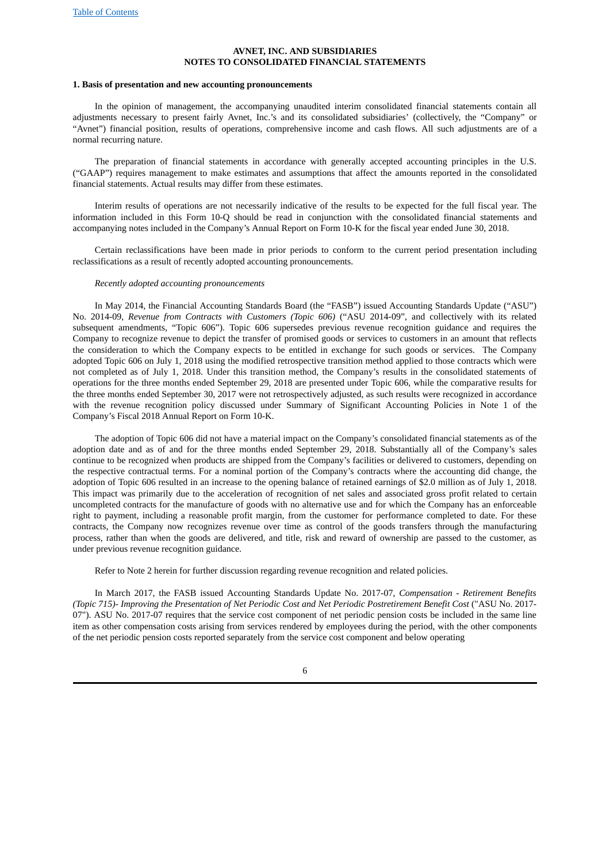#### <span id="page-6-0"></span>**1. Basis of presentation and new accounting pronouncements**

In the opinion of management, the accompanying unaudited interim consolidated financial statements contain all adjustments necessary to present fairly Avnet, Inc.'s and its consolidated subsidiaries' (collectively, the "Company" or "Avnet") financial position, results of operations, comprehensive income and cash flows. All such adjustments are of a normal recurring nature.

The preparation of financial statements in accordance with generally accepted accounting principles in the U.S. ("GAAP") requires management to make estimates and assumptions that affect the amounts reported in the consolidated financial statements. Actual results may differ from these estimates.

Interim results of operations are not necessarily indicative of the results to be expected for the full fiscal year. The information included in this Form 10-Q should be read in conjunction with the consolidated financial statements and accompanying notes included in the Company's Annual Report on Form 10-K for the fiscal year ended June 30, 2018.

Certain reclassifications have been made in prior periods to conform to the current period presentation including reclassifications as a result of recently adopted accounting pronouncements.

#### *Recently adopted accounting pronouncements*

In May 2014, the Financial Accounting Standards Board (the "FASB") issued Accounting Standards Update ("ASU") No. 2014-09, *Revenue from Contracts with Customers (Topic 606)* ("ASU 2014-09", and collectively with its related subsequent amendments, "Topic 606"). Topic 606 supersedes previous revenue recognition guidance and requires the Company to recognize revenue to depict the transfer of promised goods or services to customers in an amount that reflects the consideration to which the Company expects to be entitled in exchange for such goods or services. The Company adopted Topic 606 on July 1, 2018 using the modified retrospective transition method applied to those contracts which were not completed as of July 1, 2018. Under this transition method, the Company's results in the consolidated statements of operations for the three months ended September 29, 2018 are presented under Topic 606, while the comparative results for the three months ended September 30, 2017 were not retrospectively adjusted, as such results were recognized in accordance with the revenue recognition policy discussed under Summary of Significant Accounting Policies in Note 1 of the Company's Fiscal 2018 Annual Report on Form 10-K.

The adoption of Topic 606 did not have a material impact on the Company's consolidated financial statements as of the adoption date and as of and for the three months ended September 29, 2018. Substantially all of the Company's sales continue to be recognized when products are shipped from the Company's facilities or delivered to customers, depending on the respective contractual terms. For a nominal portion of the Company's contracts where the accounting did change, the adoption of Topic 606 resulted in an increase to the opening balance of retained earnings of \$2.0 million as of July 1, 2018. This impact was primarily due to the acceleration of recognition of net sales and associated gross profit related to certain uncompleted contracts for the manufacture of goods with no alternative use and for which the Company has an enforceable right to payment, including a reasonable profit margin, from the customer for performance completed to date. For these contracts, the Company now recognizes revenue over time as control of the goods transfers through the manufacturing process, rather than when the goods are delivered, and title, risk and reward of ownership are passed to the customer, as under previous revenue recognition guidance.

Refer to Note 2 herein for further discussion regarding revenue recognition and related policies.

In March 2017, the FASB issued Accounting Standards Update No. 2017-07, *Compensation - Retirement Benefits* (Topic 715)- Improving the Presentation of Net Periodic Cost and Net Periodic Postretirement Benefit Cost ("ASU No. 2017-07"). ASU No. 2017-07 requires that the service cost component of net periodic pension costs be included in the same line item as other compensation costs arising from services rendered by employees during the period, with the other components of the net periodic pension costs reported separately from the service cost component and below operating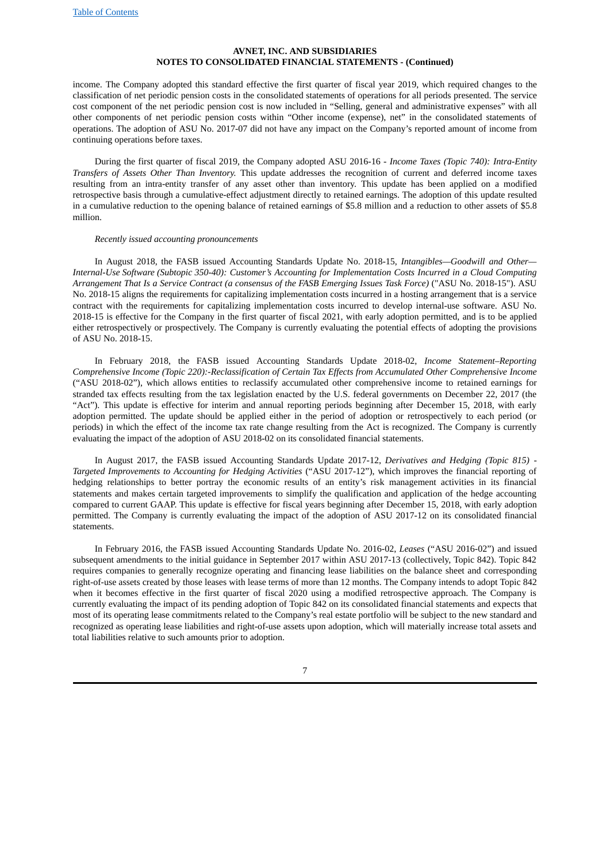income. The Company adopted this standard effective the first quarter of fiscal year 2019, which required changes to the classification of net periodic pension costs in the consolidated statements of operations for all periods presented. The service cost component of the net periodic pension cost is now included in "Selling, general and administrative expenses" with all other components of net periodic pension costs within "Other income (expense), net" in the consolidated statements of operations. The adoption of ASU No. 2017-07 did not have any impact on the Company's reported amount of income from continuing operations before taxes.

During the first quarter of fiscal 2019, the Company adopted ASU 2016-16 - *Income Taxes (Topic 740): Intra-Entity Transfers of Assets Other Than Inventory.* This update addresses the recognition of current and deferred income taxes resulting from an intra-entity transfer of any asset other than inventory. This update has been applied on a modified retrospective basis through a cumulative-effect adjustment directly to retained earnings. The adoption of this update resulted in a cumulative reduction to the opening balance of retained earnings of \$5.8 million and a reduction to other assets of \$5.8 million.

#### *Recently issued accounting pronouncements*

In August 2018, the FASB issued Accounting Standards Update No. 2018-15, *Intangibles—Goodwill and Other— Internal-Use Software (Subtopic 350-40): Customer's Accounting for Implementation Costs Incurred in a Cloud Computing Arrangement That Is a Service Contract (a consensus of the FASB Emerging Issues Task Force)* ("ASU No. 2018-15"). ASU No. 2018-15 aligns the requirements for capitalizing implementation costs incurred in a hosting arrangement that is a service contract with the requirements for capitalizing implementation costs incurred to develop internal-use software. ASU No. 2018-15 is effective for the Company in the first quarter of fiscal 2021, with early adoption permitted, and is to be applied either retrospectively or prospectively. The Company is currently evaluating the potential effects of adopting the provisions of ASU No. 2018-15.

In February 2018, the FASB issued Accounting Standards Update 2018-02, *Income Statement–Reporting Comprehensive Income (Topic 220):*-*Reclassification of Certain Tax Effects from Accumulated Other Comprehensive Income* ("ASU 2018-02"), which allows entities to reclassify accumulated other comprehensive income to retained earnings for stranded tax effects resulting from the tax legislation enacted by the U.S. federal governments on December 22, 2017 (the "Act"). This update is effective for interim and annual reporting periods beginning after December 15, 2018, with early adoption permitted. The update should be applied either in the period of adoption or retrospectively to each period (or periods) in which the effect of the income tax rate change resulting from the Act is recognized. The Company is currently evaluating the impact of the adoption of ASU 2018-02 on its consolidated financial statements.

In August 2017, the FASB issued Accounting Standards Update 2017-12, *Derivatives and Hedging (Topic 815)* - *Targeted Improvements to Accounting for Hedging Activities* ("ASU 2017-12"), which improves the financial reporting of hedging relationships to better portray the economic results of an entity's risk management activities in its financial statements and makes certain targeted improvements to simplify the qualification and application of the hedge accounting compared to current GAAP. This update is effective for fiscal years beginning after December 15, 2018, with early adoption permitted. The Company is currently evaluating the impact of the adoption of ASU 2017-12 on its consolidated financial statements.

In February 2016, the FASB issued Accounting Standards Update No. 2016-02, *Leases* ("ASU 2016-02") and issued subsequent amendments to the initial guidance in September 2017 within ASU 2017-13 (collectively, Topic 842). Topic 842 requires companies to generally recognize operating and financing lease liabilities on the balance sheet and corresponding right-of-use assets created by those leases with lease terms of more than 12 months. The Company intends to adopt Topic 842 when it becomes effective in the first quarter of fiscal 2020 using a modified retrospective approach. The Company is currently evaluating the impact of its pending adoption of Topic 842 on its consolidated financial statements and expects that most of its operating lease commitments related to the Company's real estate portfolio will be subject to the new standard and recognized as operating lease liabilities and right-of-use assets upon adoption, which will materially increase total assets and total liabilities relative to such amounts prior to adoption.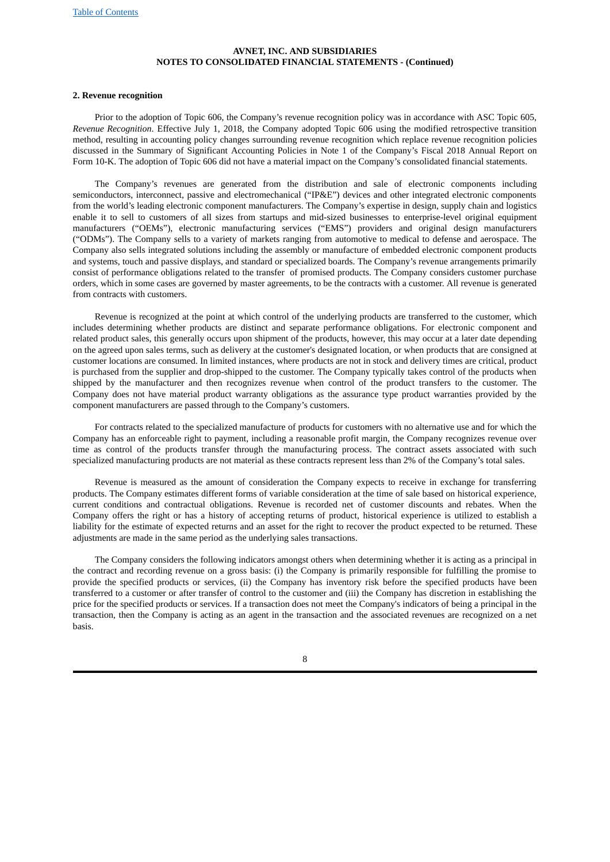## **2. Revenue recognition**

Prior to the adoption of Topic 606, the Company's revenue recognition policy was in accordance with ASC Topic 605, *Revenue Recognition*. Effective July 1, 2018, the Company adopted Topic 606 using the modified retrospective transition method, resulting in accounting policy changes surrounding revenue recognition which replace revenue recognition policies discussed in the Summary of Significant Accounting Policies in Note 1 of the Company's Fiscal 2018 Annual Report on Form 10-K. The adoption of Topic 606 did not have a material impact on the Company's consolidated financial statements.

The Company's revenues are generated from the distribution and sale of electronic components including semiconductors, interconnect, passive and electromechanical ("IP&E") devices and other integrated electronic components from the world's leading electronic component manufacturers. The Company's expertise in design, supply chain and logistics enable it to sell to customers of all sizes from startups and mid-sized businesses to enterprise-level original equipment manufacturers ("OEMs"), electronic manufacturing services ("EMS") providers and original design manufacturers ("ODMs"). The Company sells to a variety of markets ranging from automotive to medical to defense and aerospace. The Company also sells integrated solutions including the assembly or manufacture of embedded electronic component products and systems, touch and passive displays, and standard or specialized boards. The Company's revenue arrangements primarily consist of performance obligations related to the transfer of promised products. The Company considers customer purchase orders, which in some cases are governed by master agreements, to be the contracts with a customer. All revenue is generated from contracts with customers.

Revenue is recognized at the point at which control of the underlying products are transferred to the customer, which includes determining whether products are distinct and separate performance obligations. For electronic component and related product sales, this generally occurs upon shipment of the products, however, this may occur at a later date depending on the agreed upon sales terms, such as delivery at the customer's designated location, or when products that are consigned at customer locations are consumed. In limited instances, where products are not in stock and delivery times are critical, product is purchased from the supplier and drop-shipped to the customer. The Company typically takes control of the products when shipped by the manufacturer and then recognizes revenue when control of the product transfers to the customer. The Company does not have material product warranty obligations as the assurance type product warranties provided by the component manufacturers are passed through to the Company's customers.

For contracts related to the specialized manufacture of products for customers with no alternative use and for which the Company has an enforceable right to payment, including a reasonable profit margin, the Company recognizes revenue over time as control of the products transfer through the manufacturing process. The contract assets associated with such specialized manufacturing products are not material as these contracts represent less than 2% of the Company's total sales.

Revenue is measured as the amount of consideration the Company expects to receive in exchange for transferring products. The Company estimates different forms of variable consideration at the time of sale based on historical experience, current conditions and contractual obligations. Revenue is recorded net of customer discounts and rebates. When the Company offers the right or has a history of accepting returns of product, historical experience is utilized to establish a liability for the estimate of expected returns and an asset for the right to recover the product expected to be returned. These adjustments are made in the same period as the underlying sales transactions.

The Company considers the following indicators amongst others when determining whether it is acting as a principal in the contract and recording revenue on a gross basis: (i) the Company is primarily responsible for fulfilling the promise to provide the specified products or services, (ii) the Company has inventory risk before the specified products have been transferred to a customer or after transfer of control to the customer and (iii) the Company has discretion in establishing the price for the specified products or services. If a transaction does not meet the Company's indicators of being a principal in the transaction, then the Company is acting as an agent in the transaction and the associated revenues are recognized on a net basis.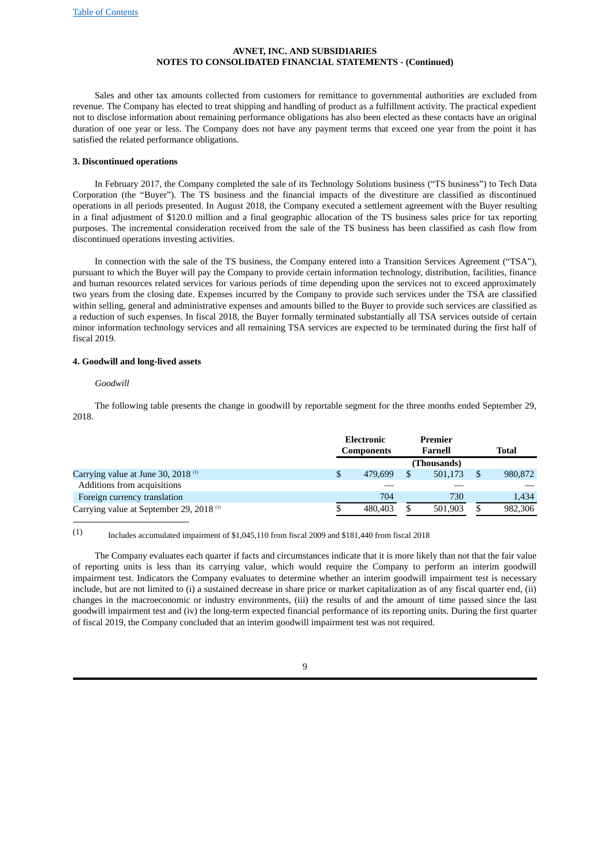Sales and other tax amounts collected from customers for remittance to governmental authorities are excluded from revenue. The Company has elected to treat shipping and handling of product as a fulfillment activity. The practical expedient not to disclose information about remaining performance obligations has also been elected as these contacts have an original duration of one year or less. The Company does not have any payment terms that exceed one year from the point it has satisfied the related performance obligations.

#### **3. Discontinued operations**

In February 2017, the Company completed the sale of its Technology Solutions business ("TS business") to Tech Data Corporation (the "Buyer"). The TS business and the financial impacts of the divestiture are classified as discontinued operations in all periods presented. In August 2018, the Company executed a settlement agreement with the Buyer resulting in a final adjustment of \$120.0 million and a final geographic allocation of the TS business sales price for tax reporting purposes. The incremental consideration received from the sale of the TS business has been classified as cash flow from discontinued operations investing activities.

In connection with the sale of the TS business, the Company entered into a Transition Services Agreement ("TSA"), pursuant to which the Buyer will pay the Company to provide certain information technology, distribution, facilities, finance and human resources related services for various periods of time depending upon the services not to exceed approximately two years from the closing date. Expenses incurred by the Company to provide such services under the TSA are classified within selling, general and administrative expenses and amounts billed to the Buyer to provide such services are classified as a reduction of such expenses. In fiscal 2018, the Buyer formally terminated substantially all TSA services outside of certain minor information technology services and all remaining TSA services are expected to be terminated during the first half of fiscal 2019.

#### **4. Goodwill and long-lived assets**

#### *Goodwill*

The following table presents the change in goodwill by reportable segment for the three months ended September 29, 2018.

|                                                     |  | Electronic<br><b>Components</b> |  |         |  |         |  | Premier<br>Farnell |  | Total |
|-----------------------------------------------------|--|---------------------------------|--|---------|--|---------|--|--------------------|--|-------|
|                                                     |  | (Thousands)                     |  |         |  |         |  |                    |  |       |
| Carrying value at June 30, 2018 <sup>(1)</sup>      |  | 479.699                         |  | 501,173 |  | 980,872 |  |                    |  |       |
| Additions from acquisitions                         |  |                                 |  |         |  |         |  |                    |  |       |
| Foreign currency translation                        |  | 704                             |  | 730     |  | 1,434   |  |                    |  |       |
| Carrying value at September 29, 2018 <sup>(1)</sup> |  | 480.403                         |  | 501.903 |  | 982,306 |  |                    |  |       |

(1) Includes accumulated impairment of \$1,045,110 from fiscal 2009 and \$181,440 from fiscal 2018

The Company evaluates each quarter if facts and circumstances indicate that it is more likely than not that the fair value of reporting units is less than its carrying value, which would require the Company to perform an interim goodwill impairment test. Indicators the Company evaluates to determine whether an interim goodwill impairment test is necessary include, but are not limited to (i) a sustained decrease in share price or market capitalization as of any fiscal quarter end, (ii) changes in the macroeconomic or industry environments, (iii) the results of and the amount of time passed since the last goodwill impairment test and (iv) the long-term expected financial performance of its reporting units. During the first quarter of fiscal 2019, the Company concluded that an interim goodwill impairment test was not required.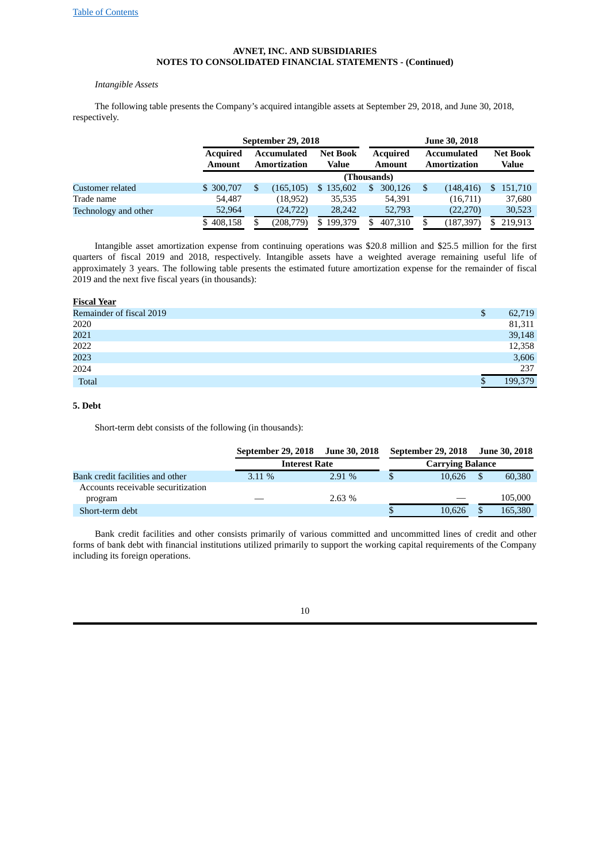# *Intangible Assets*

The following table presents the Company's acquired intangible assets at September 29, 2018, and June 30, 2018, respectively.

|                      |                           | September 29, 2018 |                                    |                          |     |                                  |                                           | <b>June 30, 2018</b> |  |         |  |  |  |                          |
|----------------------|---------------------------|--------------------|------------------------------------|--------------------------|-----|----------------------------------|-------------------------------------------|----------------------|--|---------|--|--|--|--------------------------|
|                      | <b>Acquired</b><br>Amount |                    | <b>Accumulated</b><br>Amortization | <b>Net Book</b><br>Value |     | <b>Acquired</b><br><b>Amount</b> | <b>Accumulated</b><br><b>Amortization</b> |                      |  |         |  |  |  | <b>Net Book</b><br>Value |
|                      |                           | (Thousands)        |                                    |                          |     |                                  |                                           |                      |  |         |  |  |  |                          |
| Customer related     | \$ 300,707                |                    | (165, 105)                         | \$135,602                | \$. | 300.126                          |                                           | (148, 416)           |  | 151,710 |  |  |  |                          |
| Trade name           | 54.487                    |                    | (18, 952)                          | 35,535                   |     | 54,391                           |                                           | (16,711)             |  | 37,680  |  |  |  |                          |
| Technology and other | 52,964                    |                    | (24, 722)                          | 28,242                   |     | 52,793                           |                                           | (22, 270)            |  | 30,523  |  |  |  |                          |
|                      | 408,158                   |                    | (208,779)                          | 199,379<br>SS.           | S   | 407,310                          |                                           | (187, 397)           |  | 219.913 |  |  |  |                          |

Intangible asset amortization expense from continuing operations was \$20.8 million and \$25.5 million for the first quarters of fiscal 2019 and 2018, respectively. Intangible assets have a weighted average remaining useful life of approximately 3 years. The following table presents the estimated future amortization expense for the remainder of fiscal 2019 and the next five fiscal years (in thousands):

#### **Fiscal Year**

| Remainder of fiscal 2019 | \$<br>62,719 |
|--------------------------|--------------|
| 2020                     | 81,311       |
| 2021                     | 39,148       |
| 2022                     | 12,358       |
| 2023                     | 3,606        |
| 2024                     | 237          |
| Total                    | 199,379      |

#### **5. Debt**

Short-term debt consists of the following (in thousands):

|                                    | September 29, 2018   | <b>June 30, 2018</b> |                         | September 29, 2018 |    | June 30, 2018 |
|------------------------------------|----------------------|----------------------|-------------------------|--------------------|----|---------------|
|                                    | <b>Interest Rate</b> |                      | <b>Carrying Balance</b> |                    |    |               |
| Bank credit facilities and other   | 3.11%                | 2.91 %               |                         | 10.626             | \$ | 60,380        |
| Accounts receivable securitization |                      |                      |                         |                    |    |               |
| program                            |                      | 2.63%                |                         |                    |    | 105,000       |
| Short-term debt                    |                      |                      |                         | 10.626             |    | 165,380       |

Bank credit facilities and other consists primarily of various committed and uncommitted lines of credit and other forms of bank debt with financial institutions utilized primarily to support the working capital requirements of the Company including its foreign operations.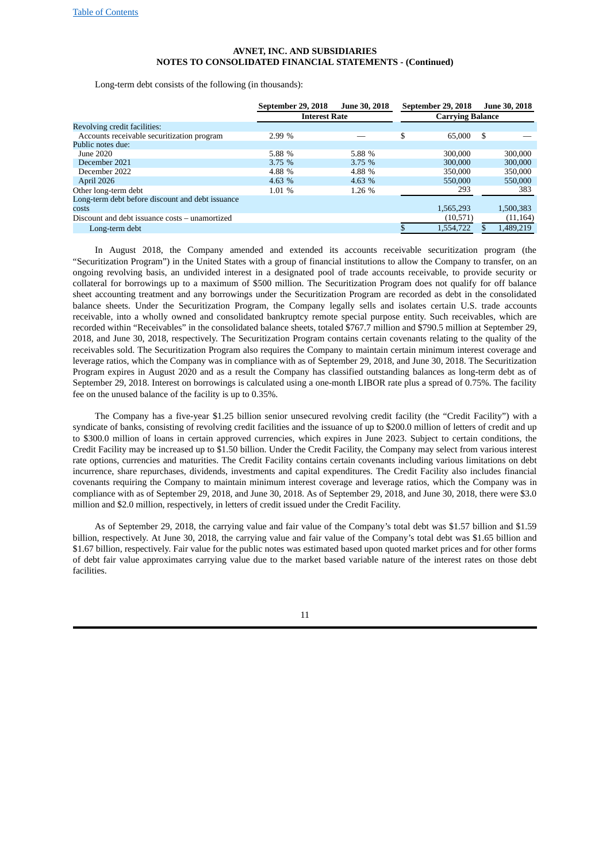Long-term debt consists of the following (in thousands):

|                                                  | September 29, 2018   | <b>June 30, 2018</b> | September 29, 2018      | <b>June 30, 2018</b> |
|--------------------------------------------------|----------------------|----------------------|-------------------------|----------------------|
|                                                  | <b>Interest Rate</b> |                      | <b>Carrying Balance</b> |                      |
| Revolving credit facilities:                     |                      |                      |                         |                      |
| Accounts receivable securitization program       | 2.99 %               |                      | \$<br>65,000            | \$                   |
| Public notes due:                                |                      |                      |                         |                      |
| June 2020                                        | 5.88 %               | 5.88 %               | 300,000                 | 300,000              |
| December 2021                                    | 3.75%                | 3.75%                | 300,000                 | 300,000              |
| December 2022                                    | 4.88 %               | 4.88 %               | 350,000                 | 350,000              |
| April 2026                                       | 4.63 $%$             | 4.63 $%$             | 550,000                 | 550,000              |
| Other long-term debt                             | 1.01%                | 1.26%                | 293                     | 383                  |
| Long-term debt before discount and debt issuance |                      |                      |                         |                      |
| <b>COStS</b>                                     |                      |                      | 1.565.293               | 1,500,383            |
| Discount and debt issuance costs - unamortized   |                      |                      | (10, 571)               | (11, 164)            |
| Long-term debt                                   |                      |                      | 1,554,722               | 1,489,219            |

In August 2018, the Company amended and extended its accounts receivable securitization program (the "Securitization Program") in the United States with a group of financial institutions to allow the Company to transfer, on an ongoing revolving basis, an undivided interest in a designated pool of trade accounts receivable, to provide security or collateral for borrowings up to a maximum of \$500 million. The Securitization Program does not qualify for off balance sheet accounting treatment and any borrowings under the Securitization Program are recorded as debt in the consolidated balance sheets. Under the Securitization Program, the Company legally sells and isolates certain U.S. trade accounts receivable, into a wholly owned and consolidated bankruptcy remote special purpose entity. Such receivables, which are recorded within "Receivables" in the consolidated balance sheets, totaled \$767.7 million and \$790.5 million at September 29, 2018, and June 30, 2018, respectively. The Securitization Program contains certain covenants relating to the quality of the receivables sold. The Securitization Program also requires the Company to maintain certain minimum interest coverage and leverage ratios, which the Company was in compliance with as of September 29, 2018, and June 30, 2018. The Securitization Program expires in August 2020 and as a result the Company has classified outstanding balances as long-term debt as of September 29, 2018. Interest on borrowings is calculated using a one-month LIBOR rate plus a spread of 0.75%. The facility fee on the unused balance of the facility is up to 0.35%.

The Company has a five-year \$1.25 billion senior unsecured revolving credit facility (the "Credit Facility") with a syndicate of banks, consisting of revolving credit facilities and the issuance of up to \$200.0 million of letters of credit and up to \$300.0 million of loans in certain approved currencies, which expires in June 2023. Subject to certain conditions, the Credit Facility may be increased up to \$1.50 billion. Under the Credit Facility, the Company may select from various interest rate options, currencies and maturities. The Credit Facility contains certain covenants including various limitations on debt incurrence, share repurchases, dividends, investments and capital expenditures. The Credit Facility also includes financial covenants requiring the Company to maintain minimum interest coverage and leverage ratios, which the Company was in compliance with as of September 29, 2018, and June 30, 2018. As of September 29, 2018, and June 30, 2018, there were \$3.0 million and \$2.0 million, respectively, in letters of credit issued under the Credit Facility.

As of September 29, 2018, the carrying value and fair value of the Company's total debt was \$1.57 billion and \$1.59 billion, respectively. At June 30, 2018, the carrying value and fair value of the Company's total debt was \$1.65 billion and \$1.67 billion, respectively. Fair value for the public notes was estimated based upon quoted market prices and for other forms of debt fair value approximates carrying value due to the market based variable nature of the interest rates on those debt facilities.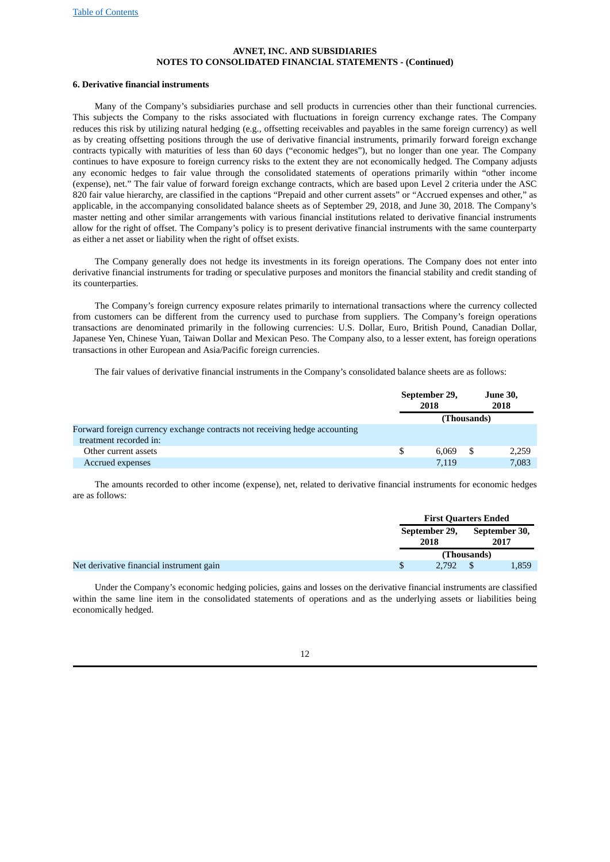#### **6. Derivative financial instruments**

Many of the Company's subsidiaries purchase and sell products in currencies other than their functional currencies. This subjects the Company to the risks associated with fluctuations in foreign currency exchange rates. The Company reduces this risk by utilizing natural hedging (e.g., offsetting receivables and payables in the same foreign currency) as well as by creating offsetting positions through the use of derivative financial instruments, primarily forward foreign exchange contracts typically with maturities of less than 60 days ("economic hedges"), but no longer than one year. The Company continues to have exposure to foreign currency risks to the extent they are not economically hedged. The Company adjusts any economic hedges to fair value through the consolidated statements of operations primarily within "other income (expense), net." The fair value of forward foreign exchange contracts, which are based upon Level 2 criteria under the ASC 820 fair value hierarchy, are classified in the captions "Prepaid and other current assets" or "Accrued expenses and other," as applicable, in the accompanying consolidated balance sheets as of September 29, 2018, and June 30, 2018. The Company's master netting and other similar arrangements with various financial institutions related to derivative financial instruments allow for the right of offset. The Company's policy is to present derivative financial instruments with the same counterparty as either a net asset or liability when the right of offset exists.

The Company generally does not hedge its investments in its foreign operations. The Company does not enter into derivative financial instruments for trading or speculative purposes and monitors the financial stability and credit standing of its counterparties.

The Company's foreign currency exposure relates primarily to international transactions where the currency collected from customers can be different from the currency used to purchase from suppliers. The Company's foreign operations transactions are denominated primarily in the following currencies: U.S. Dollar, Euro, British Pound, Canadian Dollar, Japanese Yen, Chinese Yuan, Taiwan Dollar and Mexican Peso. The Company also, to a lesser extent, has foreign operations transactions in other European and Asia/Pacific foreign currencies.

The fair values of derivative financial instruments in the Company's consolidated balance sheets are as follows:

|                                                                            | September 29,<br>2018 |  | <b>June 30,</b><br>2018 |
|----------------------------------------------------------------------------|-----------------------|--|-------------------------|
|                                                                            | (Thousands)           |  |                         |
| Forward foreign currency exchange contracts not receiving hedge accounting |                       |  |                         |
| treatment recorded in:                                                     |                       |  |                         |
| Other current assets                                                       | 6.069                 |  | 2,259                   |
| Accrued expenses                                                           | 7.119                 |  | 7,083                   |

The amounts recorded to other income (expense), net, related to derivative financial instruments for economic hedges are as follows:

|                                          |                       | <b>First Quarters Ended</b> |
|------------------------------------------|-----------------------|-----------------------------|
|                                          | September 29,<br>2018 | September 30,<br>2017       |
|                                          |                       | (Thousands)                 |
| Net derivative financial instrument gain | 2.792                 | 1.859                       |

Under the Company's economic hedging policies, gains and losses on the derivative financial instruments are classified within the same line item in the consolidated statements of operations and as the underlying assets or liabilities being economically hedged.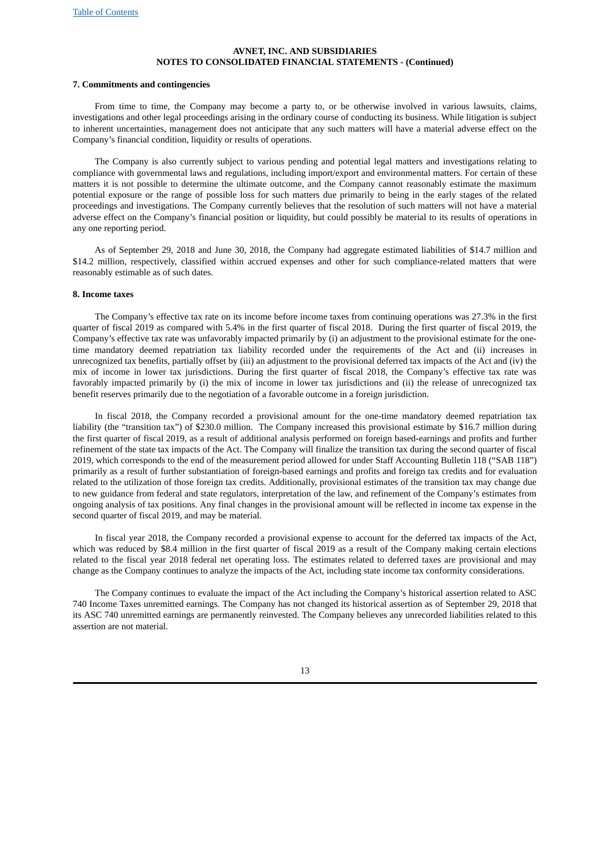#### **7. Commitments and contingencies**

From time to time, the Company may become a party to, or be otherwise involved in various lawsuits, claims, investigations and other legal proceedings arising in the ordinary course of conducting its business. While litigation is subject to inherent uncertainties, management does not anticipate that any such matters will have a material adverse effect on the Company's financial condition, liquidity or results of operations.

The Company is also currently subject to various pending and potential legal matters and investigations relating to compliance with governmental laws and regulations, including import/export and environmental matters. For certain of these matters it is not possible to determine the ultimate outcome, and the Company cannot reasonably estimate the maximum potential exposure or the range of possible loss for such matters due primarily to being in the early stages of the related proceedings and investigations. The Company currently believes that the resolution of such matters will not have a material adverse effect on the Company's financial position or liquidity, but could possibly be material to its results of operations in any one reporting period.

As of September 29, 2018 and June 30, 2018, the Company had aggregate estimated liabilities of \$14.7 million and \$14.2 million, respectively, classified within accrued expenses and other for such compliance-related matters that were reasonably estimable as of such dates.

#### **8. Income taxes**

The Company's effective tax rate on its income before income taxes from continuing operations was 27.3% in the first quarter of fiscal 2019 as compared with 5.4% in the first quarter of fiscal 2018. During the first quarter of fiscal 2019, the Company's effective tax rate was unfavorably impacted primarily by (i) an adjustment to the provisional estimate for the onetime mandatory deemed repatriation tax liability recorded under the requirements of the Act and (ii) increases in unrecognized tax benefits, partially offset by (iii) an adjustment to the provisional deferred tax impacts of the Act and (iv) the mix of income in lower tax jurisdictions. During the first quarter of fiscal 2018, the Company's effective tax rate was favorably impacted primarily by (i) the mix of income in lower tax jurisdictions and (ii) the release of unrecognized tax benefit reserves primarily due to the negotiation of a favorable outcome in a foreign jurisdiction.

In fiscal 2018, the Company recorded a provisional amount for the one-time mandatory deemed repatriation tax liability (the "transition tax") of \$230.0 million. The Company increased this provisional estimate by \$16.7 million during the first quarter of fiscal 2019, as a result of additional analysis performed on foreign based-earnings and profits and further refinement of the state tax impacts of the Act. The Company will finalize the transition tax during the second quarter of fiscal 2019, which corresponds to the end of the measurement period allowed for under Staff Accounting Bulletin 118 ("SAB 118") primarily as a result of further substantiation of foreign-based earnings and profits and foreign tax credits and for evaluation related to the utilization of those foreign tax credits. Additionally, provisional estimates of the transition tax may change due to new guidance from federal and state regulators, interpretation of the law, and refinement of the Company's estimates from ongoing analysis of tax positions. Any final changes in the provisional amount will be reflected in income tax expense in the second quarter of fiscal 2019, and may be material.

In fiscal year 2018, the Company recorded a provisional expense to account for the deferred tax impacts of the Act, which was reduced by \$8.4 million in the first quarter of fiscal 2019 as a result of the Company making certain elections related to the fiscal year 2018 federal net operating loss. The estimates related to deferred taxes are provisional and may change as the Company continues to analyze the impacts of the Act, including state income tax conformity considerations.

The Company continues to evaluate the impact of the Act including the Company's historical assertion related to ASC 740 Income Taxes unremitted earnings. The Company has not changed its historical assertion as of September 29, 2018 that its ASC 740 unremitted earnings are permanently reinvested. The Company believes any unrecorded liabilities related to this assertion are not material.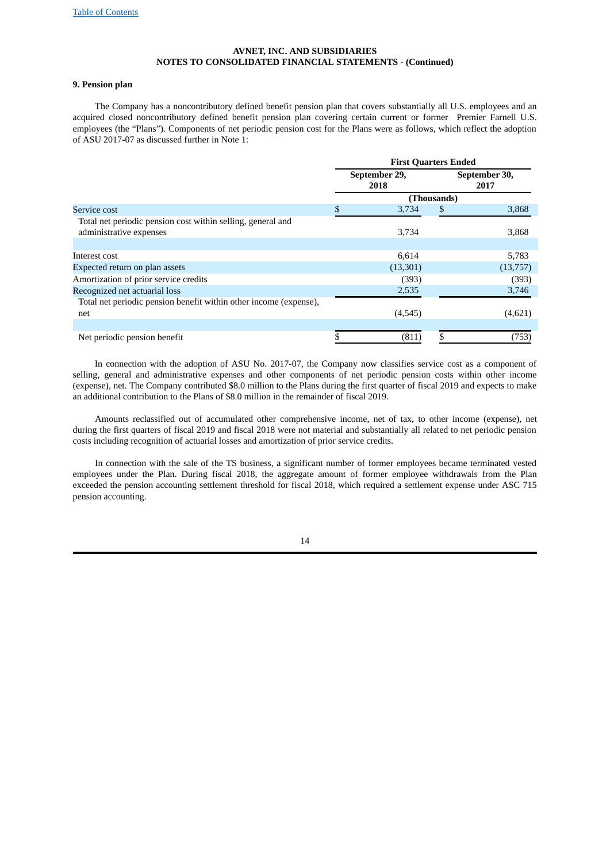## **9. Pension plan**

The Company has a noncontributory defined benefit pension plan that covers substantially all U.S. employees and an acquired closed noncontributory defined benefit pension plan covering certain current or former Premier Farnell U.S. employees (the "Plans"). Components of net periodic pension cost for the Plans were as follows, which reflect the adoption of ASU 2017-07 as discussed further in Note 1:

|                                                                                        | <b>First Quarters Ended</b> |                       |   |                       |  |  |  |
|----------------------------------------------------------------------------------------|-----------------------------|-----------------------|---|-----------------------|--|--|--|
|                                                                                        |                             | September 29,<br>2018 |   | September 30,<br>2017 |  |  |  |
|                                                                                        |                             | (Thousands)           |   |                       |  |  |  |
| Service cost                                                                           | \$                          | 3,734                 | S | 3,868                 |  |  |  |
| Total net periodic pension cost within selling, general and<br>administrative expenses |                             | 3,734                 |   | 3,868                 |  |  |  |
| Interest cost                                                                          |                             | 6,614                 |   | 5,783                 |  |  |  |
| Expected return on plan assets                                                         |                             | (13, 301)             |   | (13,757)              |  |  |  |
| Amortization of prior service credits                                                  |                             | (393)                 |   | (393)                 |  |  |  |
| Recognized net actuarial loss                                                          |                             | 2,535                 |   | 3,746                 |  |  |  |
| Total net periodic pension benefit within other income (expense),                      |                             |                       |   |                       |  |  |  |
| net                                                                                    |                             | (4,545)               |   | (4,621)               |  |  |  |
|                                                                                        |                             |                       |   |                       |  |  |  |
| Net periodic pension benefit                                                           |                             | (811)                 |   | (753)                 |  |  |  |

In connection with the adoption of ASU No. 2017-07, the Company now classifies service cost as a component of selling, general and administrative expenses and other components of net periodic pension costs within other income (expense), net. The Company contributed \$8.0 million to the Plans during the first quarter of fiscal 2019 and expects to make an additional contribution to the Plans of \$8.0 million in the remainder of fiscal 2019.

Amounts reclassified out of accumulated other comprehensive income, net of tax, to other income (expense), net during the first quarters of fiscal 2019 and fiscal 2018 were not material and substantially all related to net periodic pension costs including recognition of actuarial losses and amortization of prior service credits.

In connection with the sale of the TS business, a significant number of former employees became terminated vested employees under the Plan. During fiscal 2018, the aggregate amount of former employee withdrawals from the Plan exceeded the pension accounting settlement threshold for fiscal 2018, which required a settlement expense under ASC 715 pension accounting.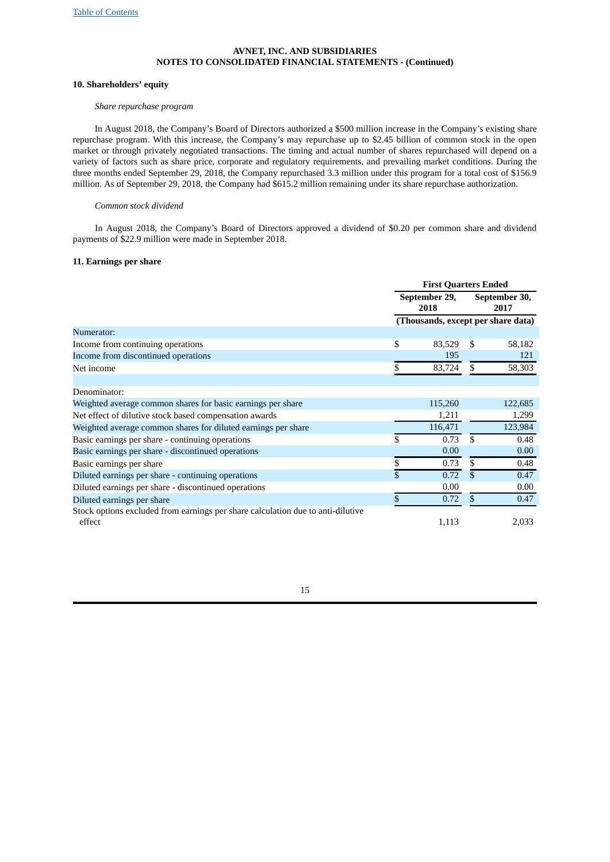# **10. Shareholders' equity**

# *Share repurchase program*

In August 2018, the Company's Board of Directors authorized a \$500 million increase in the Company's existing share repurchase program. With this increase, the Company's may repurchase up to \$2.45 billion of common stock in the open market or through privately negotiated transactions. The timing and actual number of shares repurchased will depend on a variety of factors such as share price, corporate and regulatory requirements, and prevailing market conditions. During the three months ended September 29, 2018, the Company repurchased 3.3 million under this program for a total cost of \$156.9 million. As of September 29, 2018, the Company had \$615.2 million remaining under its share repurchase authorization.

#### *Common stock dividend*

In August 2018, the Company's Board of Directors approved a dividend of \$0.20 per common share and dividend payments of \$22.9 million were made in September 2018.

#### **11. Earnings per share**

|                                                                                 | <b>First Quarters Ended</b> |                                    |     |                       |
|---------------------------------------------------------------------------------|-----------------------------|------------------------------------|-----|-----------------------|
|                                                                                 |                             | September 29,<br>2018              |     | September 30,<br>2017 |
|                                                                                 |                             | (Thousands, except per share data) |     |                       |
| Numerator:                                                                      |                             |                                    |     |                       |
| Income from continuing operations                                               | \$                          | 83,529                             | \$. | 58,182                |
| Income from discontinued operations                                             |                             | 195                                |     | 121                   |
| Net income                                                                      | \$                          | 83,724                             | \$  | 58,303                |
|                                                                                 |                             |                                    |     |                       |
| Denominator:                                                                    |                             |                                    |     |                       |
| Weighted average common shares for basic earnings per share                     |                             | 115,260                            |     | 122,685               |
| Net effect of dilutive stock based compensation awards                          |                             | 1,211                              |     | 1,299                 |
| Weighted average common shares for diluted earnings per share                   |                             | 116,471                            |     | 123,984               |
| Basic earnings per share - continuing operations                                | \$                          | 0.73                               | \$  | 0.48                  |
| Basic earnings per share - discontinued operations                              |                             | 0.00                               |     | 0.00                  |
| Basic earnings per share                                                        | \$                          | 0.73                               | \$  | 0.48                  |
| Diluted earnings per share - continuing operations                              | \$                          | 0.72                               | \$  | 0.47                  |
| Diluted earnings per share - discontinued operations                            |                             | 0.00                               |     | 0.00                  |
| Diluted earnings per share                                                      | \$                          | 0.72                               | \$  | 0.47                  |
| Stock options excluded from earnings per share calculation due to anti-dilutive |                             |                                    |     |                       |
| effect                                                                          |                             | 1,113                              |     | 2,033                 |

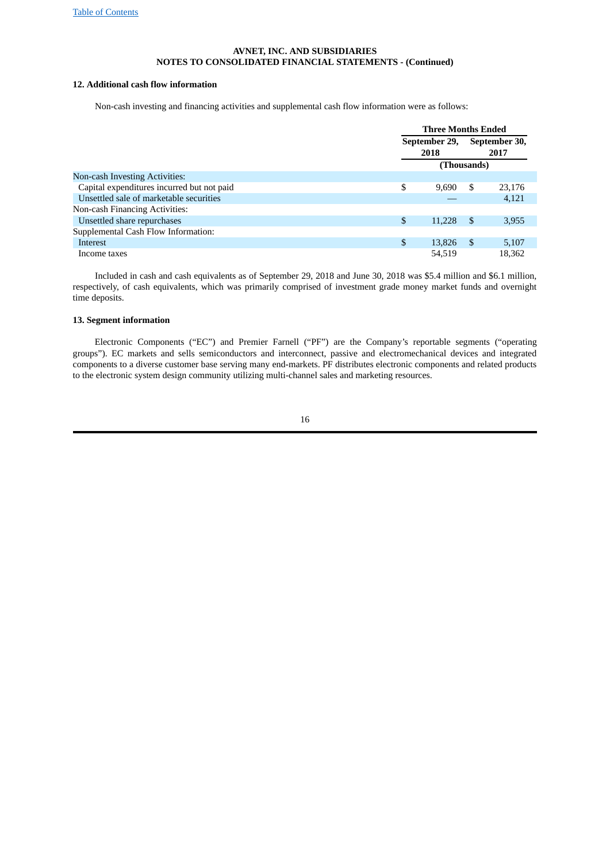# **12. Additional cash flow information**

Non-cash investing and financing activities and supplemental cash flow information were as follows:

|                                            | <b>Three Months Ended</b>                      |      |        |  |
|--------------------------------------------|------------------------------------------------|------|--------|--|
|                                            | September 29,<br>September 30,<br>2018<br>2017 |      |        |  |
|                                            | (Thousands)                                    |      |        |  |
| Non-cash Investing Activities:             |                                                |      |        |  |
| Capital expenditures incurred but not paid | \$<br>9.690                                    | S    | 23,176 |  |
| Unsettled sale of marketable securities    |                                                |      | 4,121  |  |
| Non-cash Financing Activities:             |                                                |      |        |  |
| Unsettled share repurchases                | \$<br>11.228                                   | - \$ | 3,955  |  |
| Supplemental Cash Flow Information:        |                                                |      |        |  |
| Interest                                   | \$<br>13,826                                   | -\$  | 5,107  |  |
| Income taxes                               | 54.519                                         |      | 18.362 |  |

Included in cash and cash equivalents as of September 29, 2018 and June 30, 2018 was \$5.4 million and \$6.1 million, respectively, of cash equivalents, which was primarily comprised of investment grade money market funds and overnight time deposits.

# **13. Segment information**

Electronic Components ("EC") and Premier Farnell ("PF") are the Company's reportable segments ("operating groups"). EC markets and sells semiconductors and interconnect, passive and electromechanical devices and integrated components to a diverse customer base serving many end-markets. PF distributes electronic components and related products to the electronic system design community utilizing multi-channel sales and marketing resources.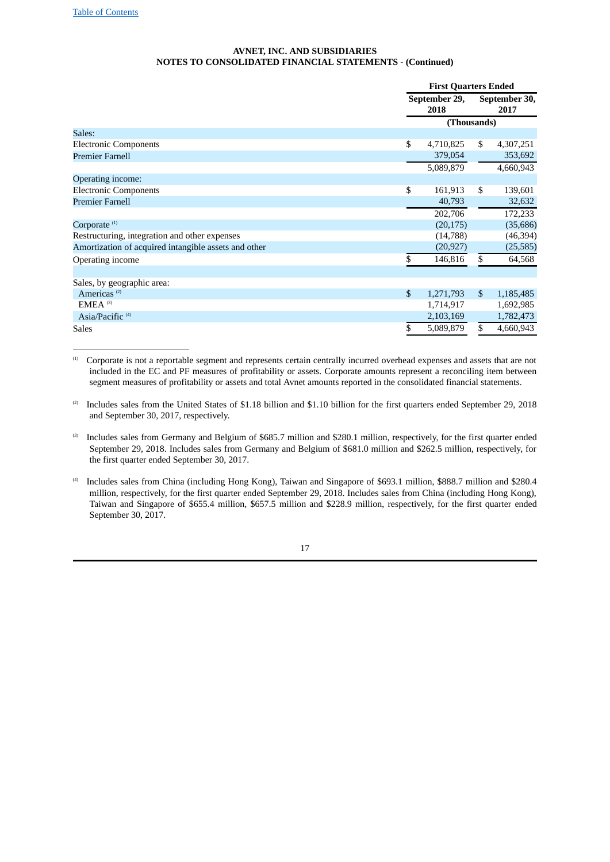|                                                      |                | <b>First Quarters Ended</b> |     |                       |  |
|------------------------------------------------------|----------------|-----------------------------|-----|-----------------------|--|
|                                                      |                | September 29,<br>2018       |     | September 30,<br>2017 |  |
|                                                      |                | (Thousands)                 |     |                       |  |
| Sales:                                               |                |                             |     |                       |  |
| <b>Electronic Components</b>                         | \$             | 4,710,825                   | \$  | 4,307,251             |  |
| <b>Premier Farnell</b>                               |                | 379,054                     |     | 353,692               |  |
|                                                      |                | 5,089,879                   |     | 4,660,943             |  |
| Operating income:                                    |                |                             |     |                       |  |
| <b>Electronic Components</b>                         | \$             | 161,913                     | \$  | 139,601               |  |
| <b>Premier Farnell</b>                               |                | 40,793                      |     | 32,632                |  |
|                                                      |                | 202,706                     |     | 172,233               |  |
| Corporate <sup>(1)</sup>                             |                | (20, 175)                   |     | (35,686)              |  |
| Restructuring, integration and other expenses        |                | (14,788)                    |     | (46, 394)             |  |
| Amortization of acquired intangible assets and other |                | (20, 927)                   |     | (25, 585)             |  |
| Operating income                                     | S              | 146,816                     | \$  | 64,568                |  |
|                                                      |                |                             |     |                       |  |
| Sales, by geographic area:                           |                |                             |     |                       |  |
| Americas <sup>(2)</sup>                              | $\mathfrak{s}$ | 1,271,793                   | \$  | 1,185,485             |  |
| $EMEA$ <sup>(3)</sup>                                |                | 1,714,917                   |     | 1,692,985             |  |
| Asia/Pacific <sup>(4)</sup>                          |                | 2,103,169                   |     | 1,782,473             |  |
| <b>Sales</b>                                         | \$             | 5,089,879                   | \$. | 4,660,943             |  |

 $(1)$  Corporate is not a reportable segment and represents certain centrally incurred overhead expenses and assets that are not included in the EC and PF measures of profitability or assets. Corporate amounts represent a reconciling item between segment measures of profitability or assets and total Avnet amounts reported in the consolidated financial statements.

- Includes sales from the United States of \$1.18 billion and \$1.10 billion for the first quarters ended September 29, 2018 and September 30, 2017, respectively. (2)
- Includes sales from Germany and Belgium of \$685.7 million and \$280.1 million, respectively, for the first quarter ended September 29, 2018. Includes sales from Germany and Belgium of \$681.0 million and \$262.5 million, respectively, for the first quarter ended September 30, 2017. (3)
- Includes sales from China (including Hong Kong), Taiwan and Singapore of \$693.1 million, \$888.7 million and \$280.4 million, respectively, for the first quarter ended September 29, 2018. Includes sales from China (including Hong Kong), Taiwan and Singapore of \$655.4 million, \$657.5 million and \$228.9 million, respectively, for the first quarter ended September 30, 2017. (4)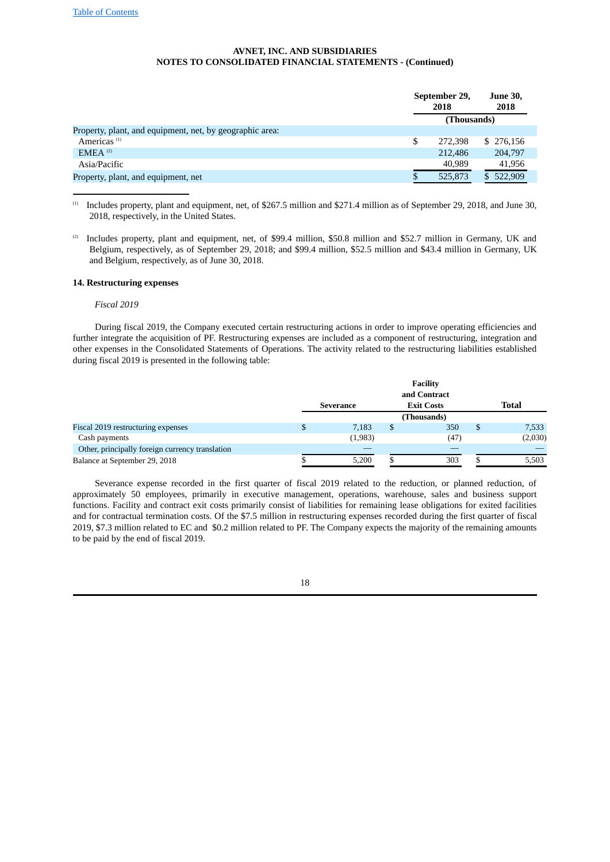|                                                          | September 29,<br>2018 | <b>June 30,</b><br>2018 |
|----------------------------------------------------------|-----------------------|-------------------------|
|                                                          | (Thousands)           |                         |
| Property, plant, and equipment, net, by geographic area: |                       |                         |
| Americas <sup>(1)</sup>                                  | \$<br>272.398         | \$276,156               |
| $EMEA$ <sup>(2)</sup>                                    | 212,486               | 204,797                 |
| Asia/Pacific                                             | 40.989                | 41.956                  |
| Property, plant, and equipment, net                      | 525,873               | \$522,909               |

 $\mu$  Includes property, plant and equipment, net, of \$267.5 million and \$271.4 million as of September 29, 2018, and June 30, 2018, respectively, in the United States.

Includes property, plant and equipment, net, of \$99.4 million, \$50.8 million and \$52.7 million in Germany, UK and Belgium, respectively, as of September 29, 2018; and \$99.4 million, \$52.5 million and \$43.4 million in Germany, UK and Belgium, respectively, as of June 30, 2018. (2)

#### **14. Restructuring expenses**

#### *Fiscal 2019*

During fiscal 2019, the Company executed certain restructuring actions in order to improve operating efficiencies and further integrate the acquisition of PF. Restructuring expenses are included as a component of restructuring, integration and other expenses in the Consolidated Statements of Operations. The activity related to the restructuring liabilities established during fiscal 2019 is presented in the following table:

|                                                 | Severance   |    | <b>Facility</b><br>and Contract<br><b>Exit Costs</b> |   | Total   |
|-------------------------------------------------|-------------|----|------------------------------------------------------|---|---------|
|                                                 |             |    | (Thousands)                                          |   |         |
| Fiscal 2019 restructuring expenses              | \$<br>7.183 | \$ | 350                                                  | S | 7,533   |
| Cash payments                                   | (1,983)     |    | (47)                                                 |   | (2,030) |
| Other, principally foreign currency translation |             |    |                                                      |   |         |
| Balance at September 29, 2018                   | 5,200       | S  | 303                                                  |   | 5,503   |

Severance expense recorded in the first quarter of fiscal 2019 related to the reduction, or planned reduction, of approximately 50 employees, primarily in executive management, operations, warehouse, sales and business support functions. Facility and contract exit costs primarily consist of liabilities for remaining lease obligations for exited facilities and for contractual termination costs. Of the \$7.5 million in restructuring expenses recorded during the first quarter of fiscal 2019, \$7.3 million related to EC and \$0.2 million related to PF. The Company expects the majority of the remaining amounts to be paid by the end of fiscal 2019.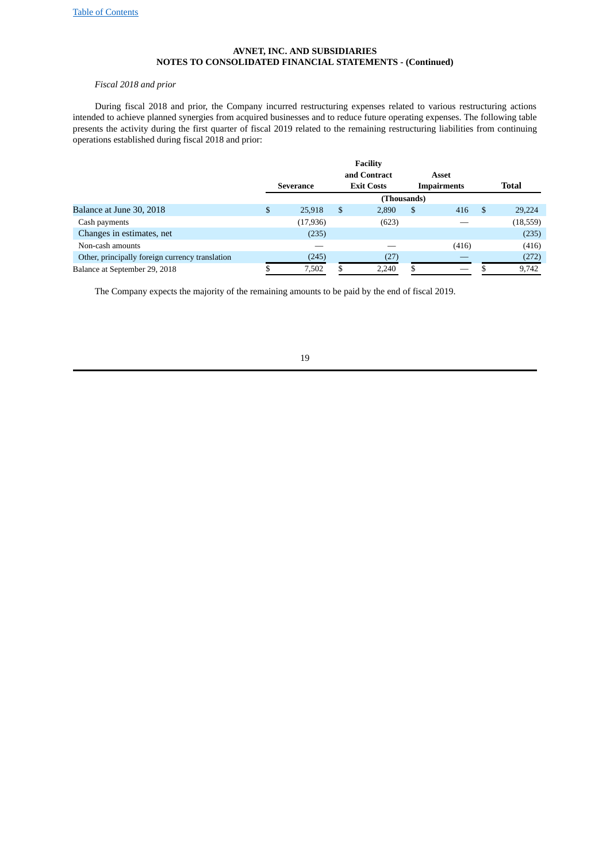# *Fiscal 2018 and prior*

During fiscal 2018 and prior, the Company incurred restructuring expenses related to various restructuring actions intended to achieve planned synergies from acquired businesses and to reduce future operating expenses. The following table presents the activity during the first quarter of fiscal 2019 related to the remaining restructuring liabilities from continuing operations established during fiscal 2018 and prior:

|                                                 |              | <b>Facility</b>   |    |                    |    |              |
|-------------------------------------------------|--------------|-------------------|----|--------------------|----|--------------|
|                                                 |              | and Contract      |    | Asset              |    |              |
|                                                 | Severance    | <b>Exit Costs</b> |    | <b>Impairments</b> |    | <b>Total</b> |
|                                                 |              | (Thousands)       |    |                    |    |              |
| Balance at June 30, 2018                        | \$<br>25,918 | \$<br>2.890       | \$ | 416                | S. | 29,224       |
| Cash payments                                   | (17, 936)    | (623)             |    |                    |    | (18, 559)    |
| Changes in estimates, net                       | (235)        |                   |    |                    |    | (235)        |
| Non-cash amounts                                |              |                   |    | (416)              |    | (416)        |
| Other, principally foreign currency translation | (245)        | (27)              |    |                    |    | (272)        |
| Balance at September 29, 2018                   | 7,502        | 2,240             | s  |                    |    | 9,742        |

The Company expects the majority of the remaining amounts to be paid by the end of fiscal 2019.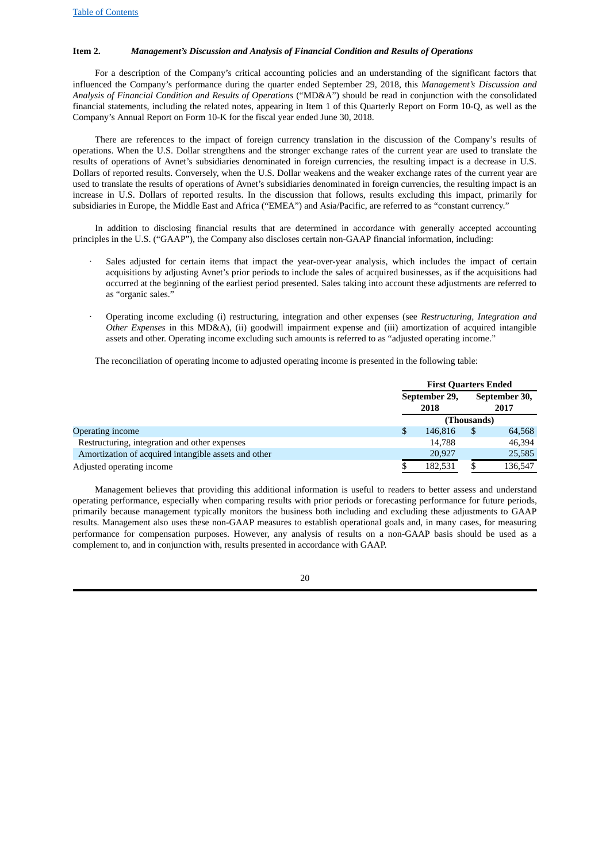#### **Item 2.** *Management's Discussion and Analysis of Financial Condition and Results of Operations*

For a description of the Company's critical accounting policies and an understanding of the significant factors that influenced the Company's performance during the quarter ended September 29, 2018, this *Management's Discussion and Analysis of Financial Condition and Results of Operations* ("MD&A") should be read in conjunction with the consolidated financial statements, including the related notes, appearing in Item 1 of this Quarterly Report on Form 10-Q, as well as the Company's Annual Report on Form 10-K for the fiscal year ended June 30, 2018.

There are references to the impact of foreign currency translation in the discussion of the Company's results of operations. When the U.S. Dollar strengthens and the stronger exchange rates of the current year are used to translate the results of operations of Avnet's subsidiaries denominated in foreign currencies, the resulting impact is a decrease in U.S. Dollars of reported results. Conversely, when the U.S. Dollar weakens and the weaker exchange rates of the current year are used to translate the results of operations of Avnet's subsidiaries denominated in foreign currencies, the resulting impact is an increase in U.S. Dollars of reported results. In the discussion that follows, results excluding this impact, primarily for subsidiaries in Europe, the Middle East and Africa ("EMEA") and Asia/Pacific, are referred to as "constant currency."

In addition to disclosing financial results that are determined in accordance with generally accepted accounting principles in the U.S. ("GAAP"), the Company also discloses certain non-GAAP financial information, including:

- Sales adjusted for certain items that impact the year-over-year analysis, which includes the impact of certain acquisitions by adjusting Avnet's prior periods to include the sales of acquired businesses, as if the acquisitions had occurred at the beginning of the earliest period presented. Sales taking into account these adjustments are referred to as "organic sales."
- · Operating income excluding (i) restructuring, integration and other expenses (see *Restructuring, Integration and Other Expenses* in this MD&A), (ii) goodwill impairment expense and (iii) amortization of acquired intangible assets and other. Operating income excluding such amounts is referred to as "adjusted operating income."

The reconciliation of operating income to adjusted operating income is presented in the following table:

|                                                      | <b>First Quarters Ended</b> |    |                       |  |
|------------------------------------------------------|-----------------------------|----|-----------------------|--|
|                                                      | September 29,<br>2018       |    | September 30,<br>2017 |  |
|                                                      | (Thousands)                 |    |                       |  |
| <b>Operating income</b>                              | 146,816                     | \$ | 64,568                |  |
| Restructuring, integration and other expenses        | 14.788                      |    | 46,394                |  |
| Amortization of acquired intangible assets and other | 20,927                      |    | 25,585                |  |
| Adjusted operating income                            | 182.531                     |    | 136,547               |  |

Management believes that providing this additional information is useful to readers to better assess and understand operating performance, especially when comparing results with prior periods or forecasting performance for future periods, primarily because management typically monitors the business both including and excluding these adjustments to GAAP results. Management also uses these non-GAAP measures to establish operational goals and, in many cases, for measuring performance for compensation purposes. However, any analysis of results on a non-GAAP basis should be used as a complement to, and in conjunction with, results presented in accordance with GAAP.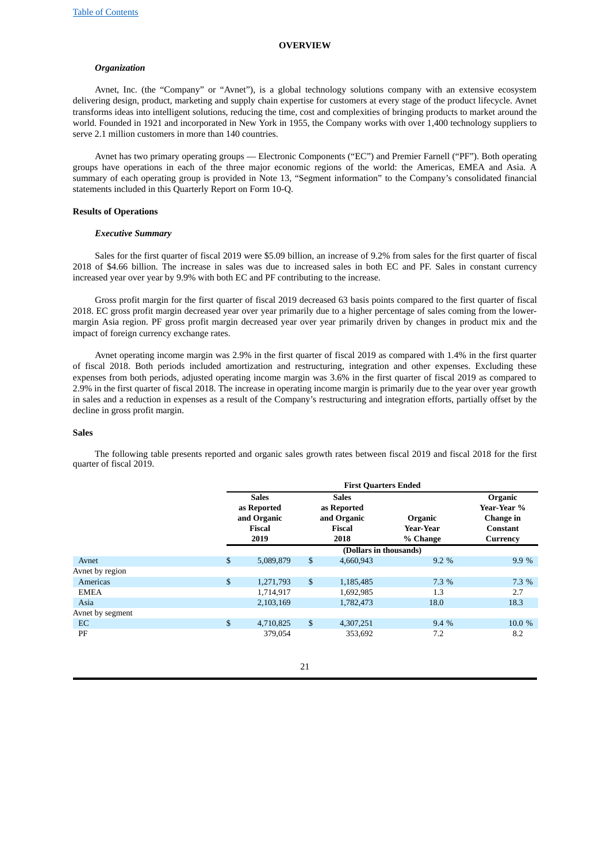#### **OVERVIEW**

#### *Organization*

Avnet, Inc. (the "Company" or "Avnet"), is a global technology solutions company with an extensive ecosystem delivering design, product, marketing and supply chain expertise for customers at every stage of the product lifecycle. Avnet transforms ideas into intelligent solutions, reducing the time, cost and complexities of bringing products to market around the world. Founded in 1921 and incorporated in New York in 1955, the Company works with over 1,400 technology suppliers to serve 2.1 million customers in more than 140 countries.

Avnet has two primary operating groups — Electronic Components ("EC") and Premier Farnell ("PF"). Both operating groups have operations in each of the three major economic regions of the world: the Americas, EMEA and Asia. A summary of each operating group is provided in Note 13, "Segment information" to the Company's consolidated financial statements included in this Quarterly Report on Form 10-Q.

#### **Results of Operations**

#### *Executive Summary*

Sales for the first quarter of fiscal 2019 were \$5.09 billion, an increase of 9.2% from sales for the first quarter of fiscal 2018 of \$4.66 billion. The increase in sales was due to increased sales in both EC and PF. Sales in constant currency increased year over year by 9.9% with both EC and PF contributing to the increase.

Gross profit margin for the first quarter of fiscal 2019 decreased 63 basis points compared to the first quarter of fiscal 2018. EC gross profit margin decreased year over year primarily due to a higher percentage of sales coming from the lowermargin Asia region. PF gross profit margin decreased year over year primarily driven by changes in product mix and the impact of foreign currency exchange rates.

Avnet operating income margin was 2.9% in the first quarter of fiscal 2019 as compared with 1.4% in the first quarter of fiscal 2018. Both periods included amortization and restructuring, integration and other expenses. Excluding these expenses from both periods, adjusted operating income margin was 3.6% in the first quarter of fiscal 2019 as compared to 2.9% in the first quarter of fiscal 2018. The increase in operating income margin is primarily due to the year over year growth in sales and a reduction in expenses as a result of the Company's restructuring and integration efforts, partially offset by the decline in gross profit margin.

#### **Sales**

The following table presents reported and organic sales growth rates between fiscal 2019 and fiscal 2018 for the first quarter of fiscal 2019.

|                  | <b>First Quarters Ended</b>                                         |                        |                                                                     |         |                                                                    |  |  |
|------------------|---------------------------------------------------------------------|------------------------|---------------------------------------------------------------------|---------|--------------------------------------------------------------------|--|--|
|                  | <b>Sales</b><br>as Reported<br>and Organic<br><b>Fiscal</b><br>2019 |                        | <b>Sales</b><br>as Reported<br>and Organic<br><b>Fiscal</b><br>2018 |         | Organic<br>Year-Year %<br>Change in<br><b>Constant</b><br>Currency |  |  |
|                  |                                                                     | (Dollars in thousands) |                                                                     |         |                                                                    |  |  |
| Avnet            | \$<br>5,089,879                                                     | \$                     | 4,660,943                                                           | 9.2%    | 9.9%                                                               |  |  |
| Avnet by region  |                                                                     |                        |                                                                     |         |                                                                    |  |  |
| Americas         | \$<br>1,271,793                                                     | \$                     | 1,185,485                                                           | $7.3\%$ | 7.3 %                                                              |  |  |
| <b>EMEA</b>      | 1,714,917                                                           |                        | 1,692,985                                                           | 1.3     | 2.7                                                                |  |  |
| Asia             | 2,103,169                                                           |                        | 1,782,473                                                           | 18.0    | 18.3                                                               |  |  |
| Aynet by segment |                                                                     |                        |                                                                     |         |                                                                    |  |  |
| EC.              | \$<br>4,710,825                                                     | \$                     | 4,307,251                                                           | 9.4%    | 10.0 %                                                             |  |  |
| PF               | 379,054                                                             |                        | 353,692                                                             | 7.2     | 8.2                                                                |  |  |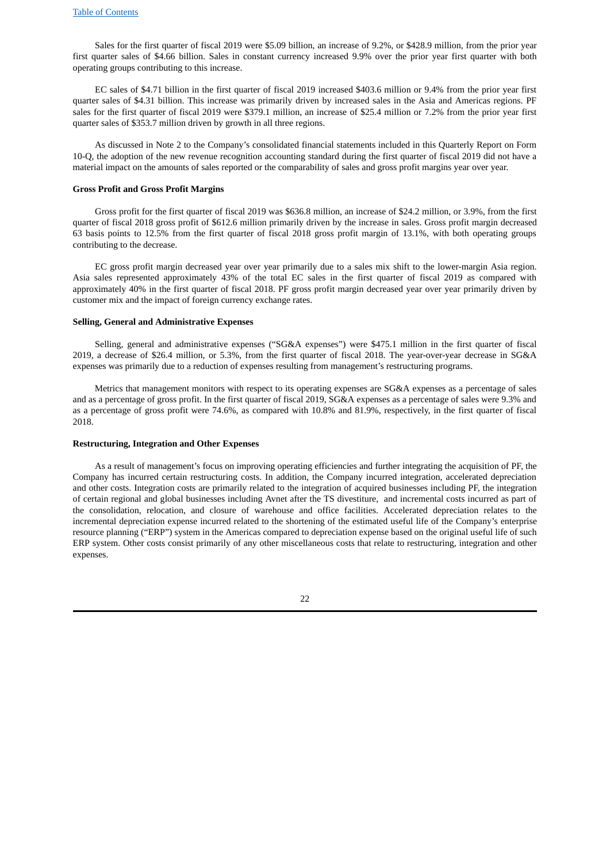Sales for the first quarter of fiscal 2019 were \$5.09 billion, an increase of 9.2%, or \$428.9 million, from the prior year first quarter sales of \$4.66 billion. Sales in constant currency increased 9.9% over the prior year first quarter with both operating groups contributing to this increase.

EC sales of \$4.71 billion in the first quarter of fiscal 2019 increased \$403.6 million or 9.4% from the prior year first quarter sales of \$4.31 billion. This increase was primarily driven by increased sales in the Asia and Americas regions. PF sales for the first quarter of fiscal 2019 were \$379.1 million, an increase of \$25.4 million or 7.2% from the prior year first quarter sales of \$353.7 million driven by growth in all three regions.

As discussed in Note 2 to the Company's consolidated financial statements included in this Quarterly Report on Form 10-Q, the adoption of the new revenue recognition accounting standard during the first quarter of fiscal 2019 did not have a material impact on the amounts of sales reported or the comparability of sales and gross profit margins year over year.

#### **Gross Profit and Gross Profit Margins**

Gross profit for the first quarter of fiscal 2019 was \$636.8 million, an increase of \$24.2 million, or 3.9%, from the first quarter of fiscal 2018 gross profit of \$612.6 million primarily driven by the increase in sales. Gross profit margin decreased 63 basis points to 12.5% from the first quarter of fiscal 2018 gross profit margin of 13.1%, with both operating groups contributing to the decrease.

EC gross profit margin decreased year over year primarily due to a sales mix shift to the lower-margin Asia region. Asia sales represented approximately 43% of the total EC sales in the first quarter of fiscal 2019 as compared with approximately 40% in the first quarter of fiscal 2018. PF gross profit margin decreased year over year primarily driven by customer mix and the impact of foreign currency exchange rates.

#### **Selling, General and Administrative Expenses**

Selling, general and administrative expenses ("SG&A expenses") were \$475.1 million in the first quarter of fiscal 2019, a decrease of \$26.4 million, or 5.3%, from the first quarter of fiscal 2018. The year-over-year decrease in SG&A expenses was primarily due to a reduction of expenses resulting from management's restructuring programs.

Metrics that management monitors with respect to its operating expenses are SG&A expenses as a percentage of sales and as a percentage of gross profit. In the first quarter of fiscal 2019, SG&A expenses as a percentage of sales were 9.3% and as a percentage of gross profit were 74.6%, as compared with 10.8% and 81.9%, respectively, in the first quarter of fiscal 2018.

#### **Restructuring, Integration and Other Expenses**

As a result of management's focus on improving operating efficiencies and further integrating the acquisition of PF, the Company has incurred certain restructuring costs. In addition, the Company incurred integration, accelerated depreciation and other costs. Integration costs are primarily related to the integration of acquired businesses including PF, the integration of certain regional and global businesses including Avnet after the TS divestiture, and incremental costs incurred as part of the consolidation, relocation, and closure of warehouse and office facilities. Accelerated depreciation relates to the incremental depreciation expense incurred related to the shortening of the estimated useful life of the Company's enterprise resource planning ("ERP") system in the Americas compared to depreciation expense based on the original useful life of such ERP system. Other costs consist primarily of any other miscellaneous costs that relate to restructuring, integration and other expenses.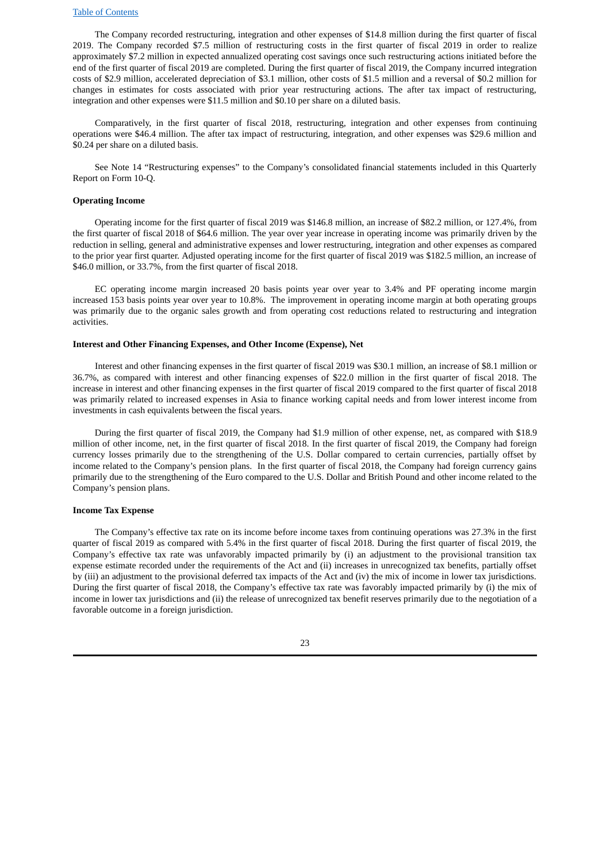The Company recorded restructuring, integration and other expenses of \$14.8 million during the first quarter of fiscal 2019. The Company recorded \$7.5 million of restructuring costs in the first quarter of fiscal 2019 in order to realize approximately \$7.2 million in expected annualized operating cost savings once such restructuring actions initiated before the end of the first quarter of fiscal 2019 are completed. During the first quarter of fiscal 2019, the Company incurred integration costs of \$2.9 million, accelerated depreciation of \$3.1 million, other costs of \$1.5 million and a reversal of \$0.2 million for changes in estimates for costs associated with prior year restructuring actions. The after tax impact of restructuring, integration and other expenses were \$11.5 million and \$0.10 per share on a diluted basis.

Comparatively, in the first quarter of fiscal 2018, restructuring, integration and other expenses from continuing operations were \$46.4 million. The after tax impact of restructuring, integration, and other expenses was \$29.6 million and \$0.24 per share on a diluted basis.

See Note 14 "Restructuring expenses" to the Company's consolidated financial statements included in this Quarterly Report on Form 10-Q.

#### **Operating Income**

Operating income for the first quarter of fiscal 2019 was \$146.8 million, an increase of \$82.2 million, or 127.4%, from the first quarter of fiscal 2018 of \$64.6 million. The year over year increase in operating income was primarily driven by the reduction in selling, general and administrative expenses and lower restructuring, integration and other expenses as compared to the prior year first quarter. Adjusted operating income for the first quarter of fiscal 2019 was \$182.5 million, an increase of \$46.0 million, or 33.7%, from the first quarter of fiscal 2018.

EC operating income margin increased 20 basis points year over year to 3.4% and PF operating income margin increased 153 basis points year over year to 10.8%. The improvement in operating income margin at both operating groups was primarily due to the organic sales growth and from operating cost reductions related to restructuring and integration activities.

#### **Interest and Other Financing Expenses, and Other Income (Expense), Net**

Interest and other financing expenses in the first quarter of fiscal 2019 was \$30.1 million, an increase of \$8.1 million or 36.7%, as compared with interest and other financing expenses of \$22.0 million in the first quarter of fiscal 2018. The increase in interest and other financing expenses in the first quarter of fiscal 2019 compared to the first quarter of fiscal 2018 was primarily related to increased expenses in Asia to finance working capital needs and from lower interest income from investments in cash equivalents between the fiscal years.

During the first quarter of fiscal 2019, the Company had \$1.9 million of other expense, net, as compared with \$18.9 million of other income, net, in the first quarter of fiscal 2018. In the first quarter of fiscal 2019, the Company had foreign currency losses primarily due to the strengthening of the U.S. Dollar compared to certain currencies, partially offset by income related to the Company's pension plans. In the first quarter of fiscal 2018, the Company had foreign currency gains primarily due to the strengthening of the Euro compared to the U.S. Dollar and British Pound and other income related to the Company's pension plans.

#### **Income Tax Expense**

The Company's effective tax rate on its income before income taxes from continuing operations was 27.3% in the first quarter of fiscal 2019 as compared with 5.4% in the first quarter of fiscal 2018. During the first quarter of fiscal 2019, the Company's effective tax rate was unfavorably impacted primarily by (i) an adjustment to the provisional transition tax expense estimate recorded under the requirements of the Act and (ii) increases in unrecognized tax benefits, partially offset by (iii) an adjustment to the provisional deferred tax impacts of the Act and (iv) the mix of income in lower tax jurisdictions. During the first quarter of fiscal 2018, the Company's effective tax rate was favorably impacted primarily by (i) the mix of income in lower tax jurisdictions and (ii) the release of unrecognized tax benefit reserves primarily due to the negotiation of a favorable outcome in a foreign jurisdiction.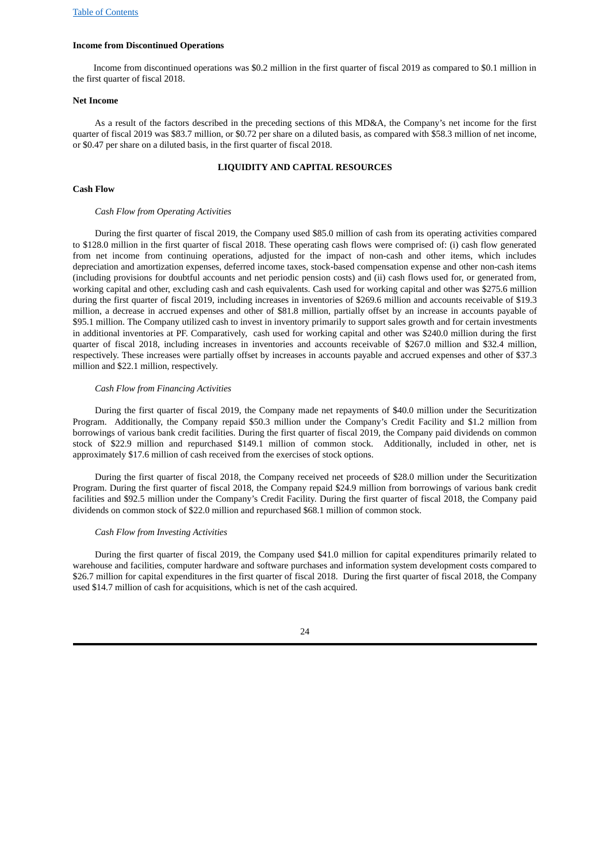#### **Income from Discontinued Operations**

Income from discontinued operations was \$0.2 million in the first quarter of fiscal 2019 as compared to \$0.1 million in the first quarter of fiscal 2018.

#### **Net Income**

As a result of the factors described in the preceding sections of this MD&A, the Company's net income for the first quarter of fiscal 2019 was \$83.7 million, or \$0.72 per share on a diluted basis, as compared with \$58.3 million of net income, or \$0.47 per share on a diluted basis, in the first quarter of fiscal 2018.

#### **LIQUIDITY AND CAPITAL RESOURCES**

#### **Cash Flow**

#### *Cash Flow from Operating Activities*

During the first quarter of fiscal 2019, the Company used \$85.0 million of cash from its operating activities compared to \$128.0 million in the first quarter of fiscal 2018. These operating cash flows were comprised of: (i) cash flow generated from net income from continuing operations, adjusted for the impact of non-cash and other items, which includes depreciation and amortization expenses, deferred income taxes, stock-based compensation expense and other non-cash items (including provisions for doubtful accounts and net periodic pension costs) and (ii) cash flows used for, or generated from, working capital and other, excluding cash and cash equivalents. Cash used for working capital and other was \$275.6 million during the first quarter of fiscal 2019, including increases in inventories of \$269.6 million and accounts receivable of \$19.3 million, a decrease in accrued expenses and other of \$81.8 million, partially offset by an increase in accounts payable of \$95.1 million. The Company utilized cash to invest in inventory primarily to support sales growth and for certain investments in additional inventories at PF. Comparatively, cash used for working capital and other was \$240.0 million during the first quarter of fiscal 2018, including increases in inventories and accounts receivable of \$267.0 million and \$32.4 million, respectively. These increases were partially offset by increases in accounts payable and accrued expenses and other of \$37.3 million and \$22.1 million, respectively.

#### *Cash Flow from Financing Activities*

During the first quarter of fiscal 2019, the Company made net repayments of \$40.0 million under the Securitization Program. Additionally, the Company repaid \$50.3 million under the Company's Credit Facility and \$1.2 million from borrowings of various bank credit facilities. During the first quarter of fiscal 2019, the Company paid dividends on common stock of \$22.9 million and repurchased \$149.1 million of common stock. Additionally, included in other, net is approximately \$17.6 million of cash received from the exercises of stock options.

During the first quarter of fiscal 2018, the Company received net proceeds of \$28.0 million under the Securitization Program. During the first quarter of fiscal 2018, the Company repaid \$24.9 million from borrowings of various bank credit facilities and \$92.5 million under the Company's Credit Facility. During the first quarter of fiscal 2018, the Company paid dividends on common stock of \$22.0 million and repurchased \$68.1 million of common stock.

#### *Cash Flow from Investing Activities*

During the first quarter of fiscal 2019, the Company used \$41.0 million for capital expenditures primarily related to warehouse and facilities, computer hardware and software purchases and information system development costs compared to \$26.7 million for capital expenditures in the first quarter of fiscal 2018. During the first quarter of fiscal 2018, the Company used \$14.7 million of cash for acquisitions, which is net of the cash acquired.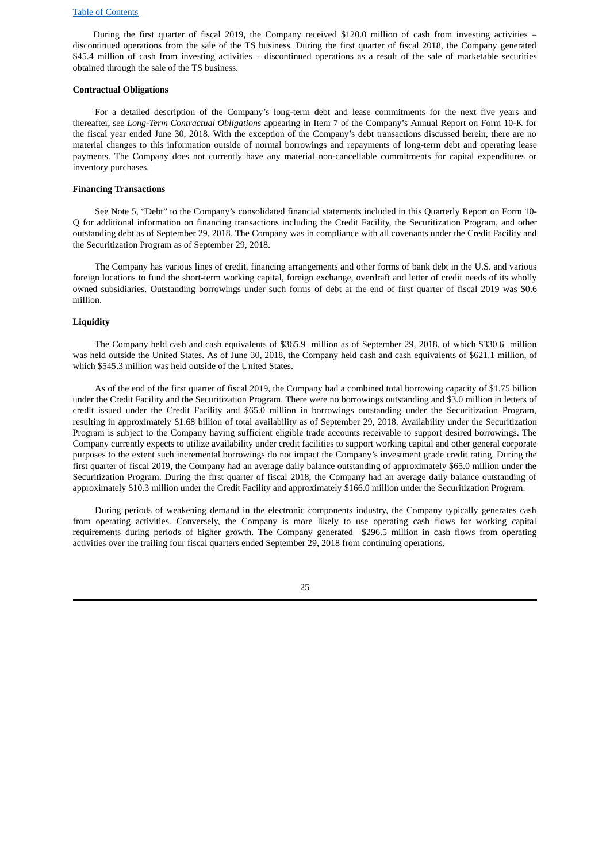During the first quarter of fiscal 2019, the Company received \$120.0 million of cash from investing activities – discontinued operations from the sale of the TS business. During the first quarter of fiscal 2018, the Company generated \$45.4 million of cash from investing activities – discontinued operations as a result of the sale of marketable securities obtained through the sale of the TS business.

#### **Contractual Obligations**

For a detailed description of the Company's long-term debt and lease commitments for the next five years and thereafter, see *Long-Term Contractual Obligations* appearing in Item 7 of the Company's Annual Report on Form 10-K for the fiscal year ended June 30, 2018. With the exception of the Company's debt transactions discussed herein, there are no material changes to this information outside of normal borrowings and repayments of long-term debt and operating lease payments. The Company does not currently have any material non-cancellable commitments for capital expenditures or inventory purchases.

#### **Financing Transactions**

See Note 5, "Debt" to the Company's consolidated financial statements included in this Quarterly Report on Form 10- Q for additional information on financing transactions including the Credit Facility, the Securitization Program, and other outstanding debt as of September 29, 2018. The Company was in compliance with all covenants under the Credit Facility and the Securitization Program as of September 29, 2018.

The Company has various lines of credit, financing arrangements and other forms of bank debt in the U.S. and various foreign locations to fund the short-term working capital, foreign exchange, overdraft and letter of credit needs of its wholly owned subsidiaries. Outstanding borrowings under such forms of debt at the end of first quarter of fiscal 2019 was \$0.6 million.

#### **Liquidity**

The Company held cash and cash equivalents of \$365.9 million as of September 29, 2018, of which \$330.6 million was held outside the United States. As of June 30, 2018, the Company held cash and cash equivalents of \$621.1 million, of which \$545.3 million was held outside of the United States.

As of the end of the first quarter of fiscal 2019, the Company had a combined total borrowing capacity of \$1.75 billion under the Credit Facility and the Securitization Program. There were no borrowings outstanding and \$3.0 million in letters of credit issued under the Credit Facility and \$65.0 million in borrowings outstanding under the Securitization Program, resulting in approximately \$1.68 billion of total availability as of September 29, 2018. Availability under the Securitization Program is subject to the Company having sufficient eligible trade accounts receivable to support desired borrowings. The Company currently expects to utilize availability under credit facilities to support working capital and other general corporate purposes to the extent such incremental borrowings do not impact the Company's investment grade credit rating. During the first quarter of fiscal 2019, the Company had an average daily balance outstanding of approximately \$65.0 million under the Securitization Program. During the first quarter of fiscal 2018, the Company had an average daily balance outstanding of approximately \$10.3 million under the Credit Facility and approximately \$166.0 million under the Securitization Program.

During periods of weakening demand in the electronic components industry, the Company typically generates cash from operating activities. Conversely, the Company is more likely to use operating cash flows for working capital requirements during periods of higher growth. The Company generated \$296.5 million in cash flows from operating activities over the trailing four fiscal quarters ended September 29, 2018 from continuing operations.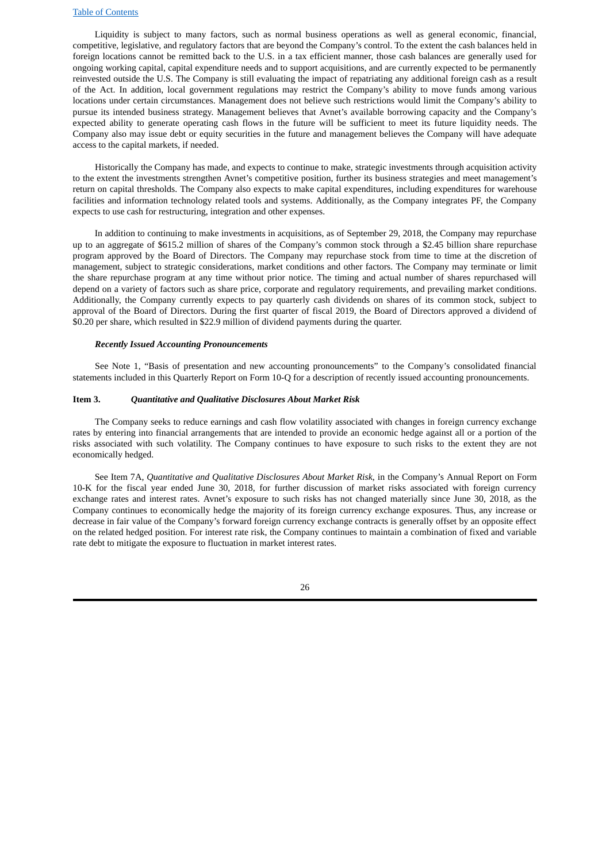Liquidity is subject to many factors, such as normal business operations as well as general economic, financial, competitive, legislative, and regulatory factors that are beyond the Company's control. To the extent the cash balances held in foreign locations cannot be remitted back to the U.S. in a tax efficient manner, those cash balances are generally used for ongoing working capital, capital expenditure needs and to support acquisitions, and are currently expected to be permanently reinvested outside the U.S. The Company is still evaluating the impact of repatriating any additional foreign cash as a result of the Act. In addition, local government regulations may restrict the Company's ability to move funds among various locations under certain circumstances. Management does not believe such restrictions would limit the Company's ability to pursue its intended business strategy. Management believes that Avnet's available borrowing capacity and the Company's expected ability to generate operating cash flows in the future will be sufficient to meet its future liquidity needs. The Company also may issue debt or equity securities in the future and management believes the Company will have adequate access to the capital markets, if needed.

Historically the Company has made, and expects to continue to make, strategic investments through acquisition activity to the extent the investments strengthen Avnet's competitive position, further its business strategies and meet management's return on capital thresholds. The Company also expects to make capital expenditures, including expenditures for warehouse facilities and information technology related tools and systems. Additionally, as the Company integrates PF, the Company expects to use cash for restructuring, integration and other expenses.

In addition to continuing to make investments in acquisitions, as of September 29, 2018, the Company may repurchase up to an aggregate of \$615.2 million of shares of the Company's common stock through a \$2.45 billion share repurchase program approved by the Board of Directors. The Company may repurchase stock from time to time at the discretion of management, subject to strategic considerations, market conditions and other factors. The Company may terminate or limit the share repurchase program at any time without prior notice. The timing and actual number of shares repurchased will depend on a variety of factors such as share price, corporate and regulatory requirements, and prevailing market conditions. Additionally, the Company currently expects to pay quarterly cash dividends on shares of its common stock, subject to approval of the Board of Directors. During the first quarter of fiscal 2019, the Board of Directors approved a dividend of \$0.20 per share, which resulted in \$22.9 million of dividend payments during the quarter.

#### <span id="page-26-0"></span>*Recently Issued Accounting Pronouncements*

See Note 1, "Basis of presentation and new accounting pronouncements" to the Company's consolidated financial statements included in this Quarterly Report on Form 10-Q for a description of recently issued accounting pronouncements.

#### **Item 3.** *Quantitative and Qualitative Disclosures About Market Risk*

The Company seeks to reduce earnings and cash flow volatility associated with changes in foreign currency exchange rates by entering into financial arrangements that are intended to provide an economic hedge against all or a portion of the risks associated with such volatility. The Company continues to have exposure to such risks to the extent they are not economically hedged.

See Item 7A, *Quantitative and Qualitative Disclosures About Market Risk*, in the Company's Annual Report on Form 10-K for the fiscal year ended June 30, 2018, for further discussion of market risks associated with foreign currency exchange rates and interest rates. Avnet's exposure to such risks has not changed materially since June 30, 2018, as the Company continues to economically hedge the majority of its foreign currency exchange exposures. Thus, any increase or decrease in fair value of the Company's forward foreign currency exchange contracts is generally offset by an opposite effect on the related hedged position. For interest rate risk, the Company continues to maintain a combination of fixed and variable rate debt to mitigate the exposure to fluctuation in market interest rates.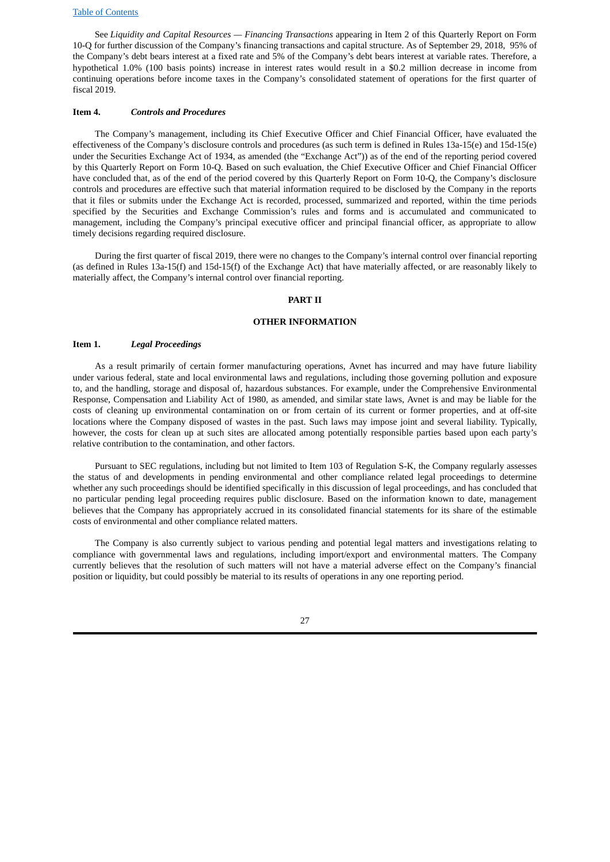See *Liquidity and Capital Resources — Financing Transactions* appearing in Item 2 of this Quarterly Report on Form 10-Q for further discussion of the Company's financing transactions and capital structure. As of September 29, 2018, 95% of the Company's debt bears interest at a fixed rate and 5% of the Company's debt bears interest at variable rates. Therefore, a hypothetical 1.0% (100 basis points) increase in interest rates would result in a \$0.2 million decrease in income from continuing operations before income taxes in the Company's consolidated statement of operations for the first quarter of fiscal 2019.

#### <span id="page-27-0"></span>**Item 4.** *Controls and Procedures*

The Company's management, including its Chief Executive Officer and Chief Financial Officer, have evaluated the effectiveness of the Company's disclosure controls and procedures (as such term is defined in Rules 13a-15(e) and 15d-15(e) under the Securities Exchange Act of 1934, as amended (the "Exchange Act")) as of the end of the reporting period covered by this Quarterly Report on Form 10-Q. Based on such evaluation, the Chief Executive Officer and Chief Financial Officer have concluded that, as of the end of the period covered by this Quarterly Report on Form 10-Q, the Company's disclosure controls and procedures are effective such that material information required to be disclosed by the Company in the reports that it files or submits under the Exchange Act is recorded, processed, summarized and reported, within the time periods specified by the Securities and Exchange Commission's rules and forms and is accumulated and communicated to management, including the Company's principal executive officer and principal financial officer, as appropriate to allow timely decisions regarding required disclosure.

During the first quarter of fiscal 2019, there were no changes to the Company's internal control over financial reporting (as defined in Rules 13a-15(f) and 15d-15(f) of the Exchange Act) that have materially affected, or are reasonably likely to materially affect, the Company's internal control over financial reporting.

#### <span id="page-27-1"></span>**PART II**

# <span id="page-27-2"></span>**OTHER INFORMATION**

#### **Item 1.** *Legal Proceedings*

As a result primarily of certain former manufacturing operations, Avnet has incurred and may have future liability under various federal, state and local environmental laws and regulations, including those governing pollution and exposure to, and the handling, storage and disposal of, hazardous substances. For example, under the Comprehensive Environmental Response, Compensation and Liability Act of 1980, as amended, and similar state laws, Avnet is and may be liable for the costs of cleaning up environmental contamination on or from certain of its current or former properties, and at off-site locations where the Company disposed of wastes in the past. Such laws may impose joint and several liability. Typically, however, the costs for clean up at such sites are allocated among potentially responsible parties based upon each party's relative contribution to the contamination, and other factors.

Pursuant to SEC regulations, including but not limited to Item 103 of Regulation S-K, the Company regularly assesses the status of and developments in pending environmental and other compliance related legal proceedings to determine whether any such proceedings should be identified specifically in this discussion of legal proceedings, and has concluded that no particular pending legal proceeding requires public disclosure. Based on the information known to date, management believes that the Company has appropriately accrued in its consolidated financial statements for its share of the estimable costs of environmental and other compliance related matters.

The Company is also currently subject to various pending and potential legal matters and investigations relating to compliance with governmental laws and regulations, including import/export and environmental matters. The Company currently believes that the resolution of such matters will not have a material adverse effect on the Company's financial position or liquidity, but could possibly be material to its results of operations in any one reporting period.

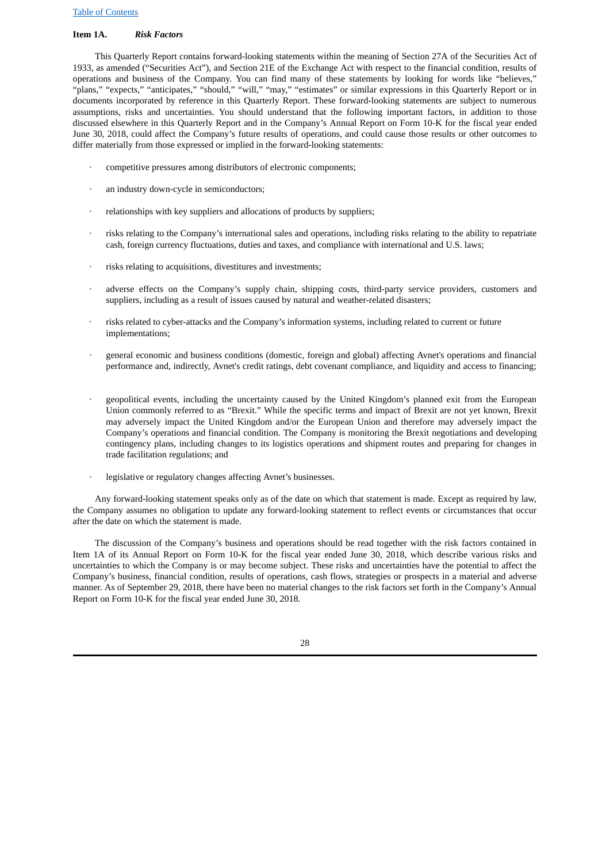# <span id="page-28-0"></span>**Item 1A.** *Risk Factors*

This Quarterly Report contains forward-looking statements within the meaning of Section 27A of the Securities Act of 1933, as amended ("Securities Act"), and Section 21E of the Exchange Act with respect to the financial condition, results of operations and business of the Company. You can find many of these statements by looking for words like "believes," "plans," "expects," "anticipates," "should," "will," "may," "estimates" or similar expressions in this Quarterly Report or in documents incorporated by reference in this Quarterly Report. These forward-looking statements are subject to numerous assumptions, risks and uncertainties. You should understand that the following important factors, in addition to those discussed elsewhere in this Quarterly Report and in the Company's Annual Report on Form 10-K for the fiscal year ended June 30, 2018, could affect the Company's future results of operations, and could cause those results or other outcomes to differ materially from those expressed or implied in the forward-looking statements:

- competitive pressures among distributors of electronic components;
- an industry down-cycle in semiconductors;
- relationships with key suppliers and allocations of products by suppliers;
- · risks relating to the Company's international sales and operations, including risks relating to the ability to repatriate cash, foreign currency fluctuations, duties and taxes, and compliance with international and U.S. laws;
- · risks relating to acquisitions, divestitures and investments;
- adverse effects on the Company's supply chain, shipping costs, third-party service providers, customers and suppliers, including as a result of issues caused by natural and weather-related disasters;
- · risks related to cyber-attacks and the Company's information systems, including related to current or future implementations;
- · general economic and business conditions (domestic, foreign and global) affecting Avnet's operations and financial performance and, indirectly, Avnet's credit ratings, debt covenant compliance, and liquidity and access to financing;
- · geopolitical events, including the uncertainty caused by the United Kingdom's planned exit from the European Union commonly referred to as "Brexit." While the specific terms and impact of Brexit are not yet known, Brexit may adversely impact the United Kingdom and/or the European Union and therefore may adversely impact the Company's operations and financial condition. The Company is monitoring the Brexit negotiations and developing contingency plans, including changes to its logistics operations and shipment routes and preparing for changes in trade facilitation regulations; and
- legislative or regulatory changes affecting Avnet's businesses.

Any forward-looking statement speaks only as of the date on which that statement is made. Except as required by law, the Company assumes no obligation to update any forward-looking statement to reflect events or circumstances that occur after the date on which the statement is made.

The discussion of the Company's business and operations should be read together with the risk factors contained in Item 1A of its Annual Report on Form 10-K for the fiscal year ended June 30, 2018, which describe various risks and uncertainties to which the Company is or may become subject. These risks and uncertainties have the potential to affect the Company's business, financial condition, results of operations, cash flows, strategies or prospects in a material and adverse manner. As of September 29, 2018, there have been no material changes to the risk factors set forth in the Company's Annual Report on Form 10-K for the fiscal year ended June 30, 2018.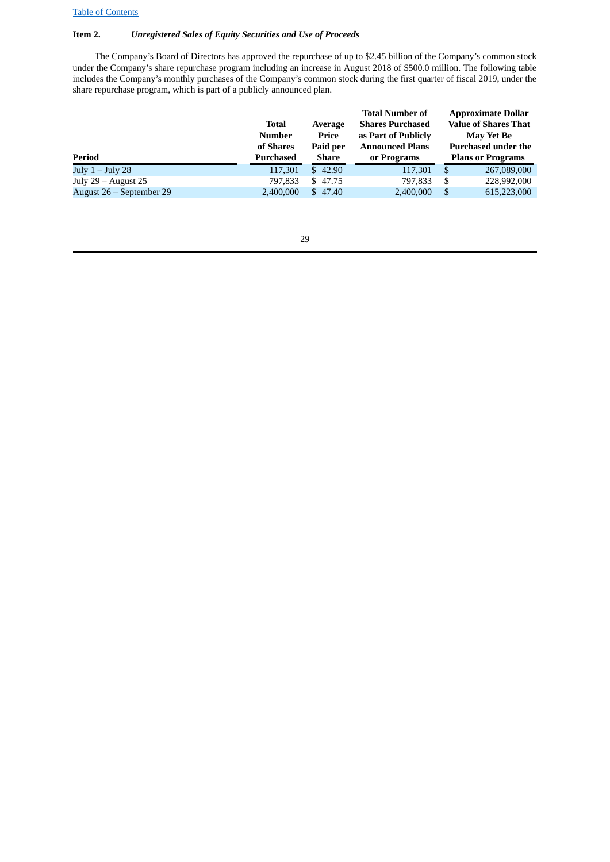# <span id="page-29-0"></span>**Item 2.** *Unregistered Sales of Equity Securities and Use of Proceeds*

The Company's Board of Directors has approved the repurchase of up to \$2.45 billion of the Company's common stock under the Company's share repurchase program including an increase in August 2018 of \$500.0 million. The following table includes the Company's monthly purchases of the Company's common stock during the first quarter of fiscal 2019, under the share repurchase program, which is part of a publicly announced plan.

|                          |                  |          | <b>Total Number of</b>  |    | <b>Approximate Dollar</b>   |
|--------------------------|------------------|----------|-------------------------|----|-----------------------------|
|                          | Total            | Average  | <b>Shares Purchased</b> |    | <b>Value of Shares That</b> |
|                          | <b>Number</b>    | Price    | as Part of Publicly     |    | May Yet Be                  |
|                          | of Shares        | Paid per | <b>Announced Plans</b>  |    | <b>Purchased under the</b>  |
| Period                   | <b>Purchased</b> | Share    | or Programs             |    | <b>Plans or Programs</b>    |
| July $1 -$ July 28       | 117,301          | \$42.90  | 117,301                 | S  | 267,089,000                 |
| July $29 -$ August 25    | 797.833          | \$47.75  | 797.833                 | S  | 228,992,000                 |
| August 26 – September 29 | 2.400,000        | \$47.40  | 2,400,000               | \$ | 615,223,000                 |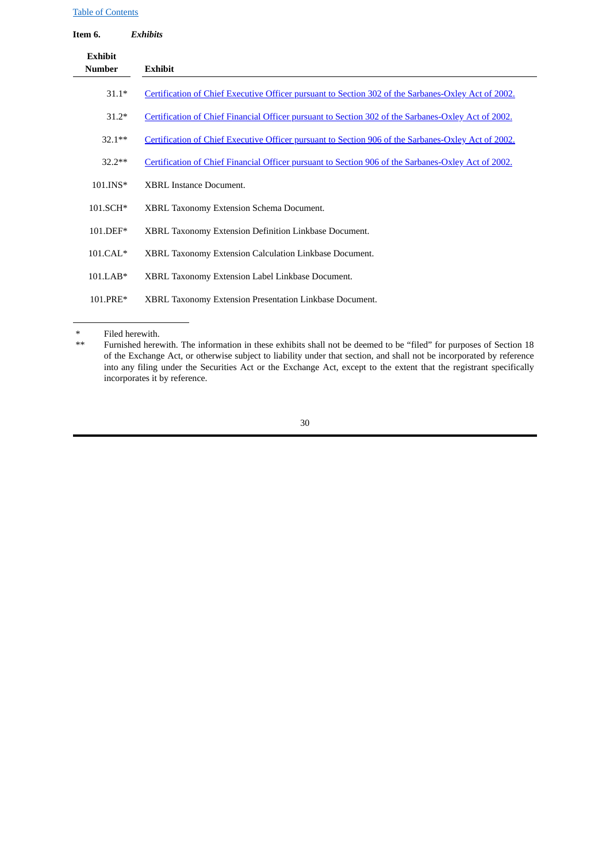<span id="page-30-0"></span>

| Item 6.                         | <b>Exhibits</b>                                                                                     |
|---------------------------------|-----------------------------------------------------------------------------------------------------|
| <b>Exhibit</b><br><b>Number</b> | <b>Exhibit</b>                                                                                      |
| $31.1*$                         | Certification of Chief Executive Officer pursuant to Section 302 of the Sarbanes-Oxley Act of 2002. |
| $31.2*$                         | Certification of Chief Financial Officer pursuant to Section 302 of the Sarbanes-Oxley Act of 2002. |
| $32.1**$                        | Certification of Chief Executive Officer pursuant to Section 906 of the Sarbanes-Oxley Act of 2002. |
| $32.2**$                        | Certification of Chief Financial Officer pursuant to Section 906 of the Sarbanes-Oxley Act of 2002. |
| $101.INS*$                      | <b>XBRL Instance Document.</b>                                                                      |
| 101.SCH*                        | XBRL Taxonomy Extension Schema Document.                                                            |
| 101.DEF*                        | XBRL Taxonomy Extension Definition Linkbase Document.                                               |
| $101.CAL*$                      | XBRL Taxonomy Extension Calculation Linkbase Document.                                              |
| $101.LAB*$                      | XBRL Taxonomy Extension Label Linkbase Document.                                                    |
| 101.PRE*                        | XBRL Taxonomy Extension Presentation Linkbase Document.                                             |

<sup>\*</sup> Filed herewith.<br>\*\* Furnished here

$$
^{30}
$$

<sup>\*\*</sup> Furnished herewith. The information in these exhibits shall not be deemed to be "filed" for purposes of Section 18 of the Exchange Act, or otherwise subject to liability under that section, and shall not be incorporated by reference into any filing under the Securities Act or the Exchange Act, except to the extent that the registrant specifically incorporates it by reference.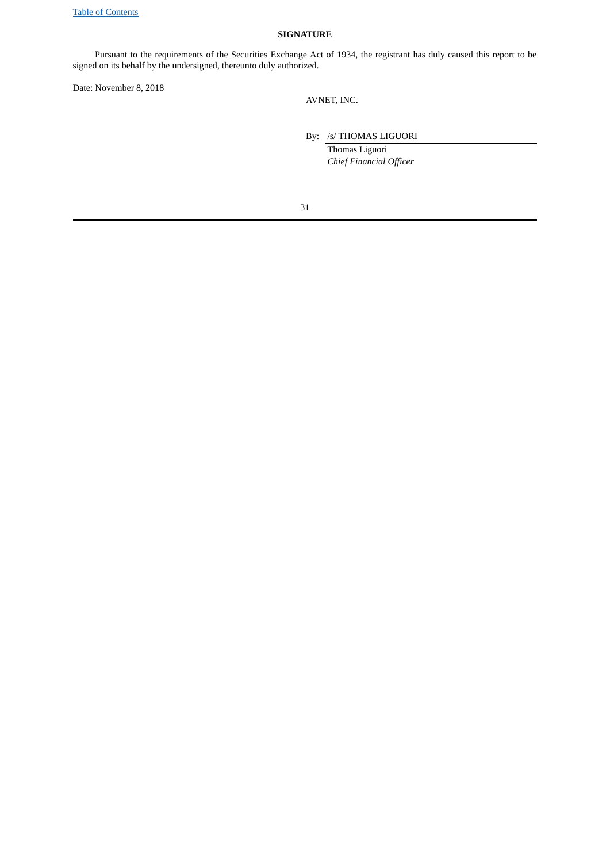# <span id="page-31-0"></span>**SIGNATURE**

Pursuant to the requirements of the Securities Exchange Act of 1934, the registrant has duly caused this report to be signed on its behalf by the undersigned, thereunto duly authorized.

Date: November 8, 2018

AVNET, INC.

By: /s/ THOMAS LIGUORI

Thomas Liguori *Chief Financial Officer*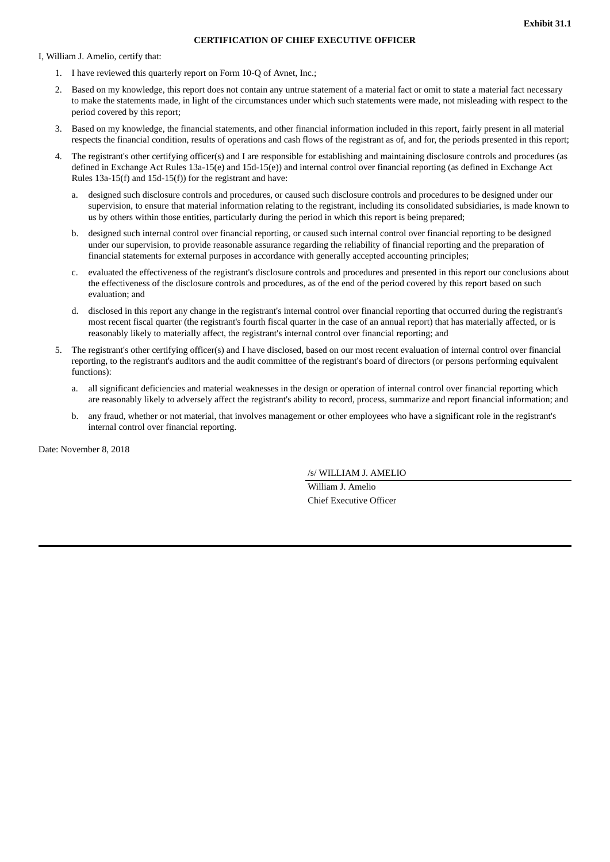## **CERTIFICATION OF CHIEF EXECUTIVE OFFICER**

<span id="page-32-0"></span>I, William J. Amelio, certify that:

- 1. I have reviewed this quarterly report on Form 10-Q of Avnet, Inc.;
- 2. Based on my knowledge, this report does not contain any untrue statement of a material fact or omit to state a material fact necessary to make the statements made, in light of the circumstances under which such statements were made, not misleading with respect to the period covered by this report;
- 3. Based on my knowledge, the financial statements, and other financial information included in this report, fairly present in all material respects the financial condition, results of operations and cash flows of the registrant as of, and for, the periods presented in this report;
- 4. The registrant's other certifying officer(s) and I are responsible for establishing and maintaining disclosure controls and procedures (as defined in Exchange Act Rules 13a-15(e) and 15d-15(e)) and internal control over financial reporting (as defined in Exchange Act Rules 13a-15(f) and 15d-15(f)) for the registrant and have:
	- a. designed such disclosure controls and procedures, or caused such disclosure controls and procedures to be designed under our supervision, to ensure that material information relating to the registrant, including its consolidated subsidiaries, is made known to us by others within those entities, particularly during the period in which this report is being prepared;
	- b. designed such internal control over financial reporting, or caused such internal control over financial reporting to be designed under our supervision, to provide reasonable assurance regarding the reliability of financial reporting and the preparation of financial statements for external purposes in accordance with generally accepted accounting principles;
	- c. evaluated the effectiveness of the registrant's disclosure controls and procedures and presented in this report our conclusions about the effectiveness of the disclosure controls and procedures, as of the end of the period covered by this report based on such evaluation; and
	- d. disclosed in this report any change in the registrant's internal control over financial reporting that occurred during the registrant's most recent fiscal quarter (the registrant's fourth fiscal quarter in the case of an annual report) that has materially affected, or is reasonably likely to materially affect, the registrant's internal control over financial reporting; and
- 5. The registrant's other certifying officer(s) and I have disclosed, based on our most recent evaluation of internal control over financial reporting, to the registrant's auditors and the audit committee of the registrant's board of directors (or persons performing equivalent functions):
	- a. all significant deficiencies and material weaknesses in the design or operation of internal control over financial reporting which are reasonably likely to adversely affect the registrant's ability to record, process, summarize and report financial information; and
	- b. any fraud, whether or not material, that involves management or other employees who have a significant role in the registrant's internal control over financial reporting.

Date: November 8, 2018

/s/ WILLIAM J. AMELIO

William J. Amelio Chief Executive Officer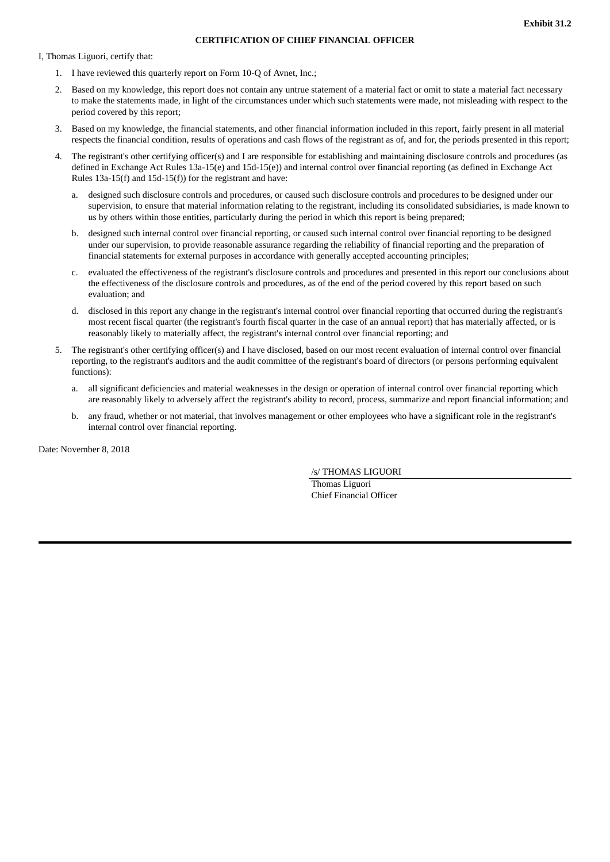# **CERTIFICATION OF CHIEF FINANCIAL OFFICER**

<span id="page-33-0"></span>I, Thomas Liguori, certify that:

- 1. I have reviewed this quarterly report on Form 10-Q of Avnet, Inc.;
- 2. Based on my knowledge, this report does not contain any untrue statement of a material fact or omit to state a material fact necessary to make the statements made, in light of the circumstances under which such statements were made, not misleading with respect to the period covered by this report;
- 3. Based on my knowledge, the financial statements, and other financial information included in this report, fairly present in all material respects the financial condition, results of operations and cash flows of the registrant as of, and for, the periods presented in this report;
- 4. The registrant's other certifying officer(s) and I are responsible for establishing and maintaining disclosure controls and procedures (as defined in Exchange Act Rules 13a-15(e) and 15d-15(e)) and internal control over financial reporting (as defined in Exchange Act Rules 13a-15(f) and 15d-15(f)) for the registrant and have:
	- a. designed such disclosure controls and procedures, or caused such disclosure controls and procedures to be designed under our supervision, to ensure that material information relating to the registrant, including its consolidated subsidiaries, is made known to us by others within those entities, particularly during the period in which this report is being prepared;
	- b. designed such internal control over financial reporting, or caused such internal control over financial reporting to be designed under our supervision, to provide reasonable assurance regarding the reliability of financial reporting and the preparation of financial statements for external purposes in accordance with generally accepted accounting principles;
	- c. evaluated the effectiveness of the registrant's disclosure controls and procedures and presented in this report our conclusions about the effectiveness of the disclosure controls and procedures, as of the end of the period covered by this report based on such evaluation; and
	- d. disclosed in this report any change in the registrant's internal control over financial reporting that occurred during the registrant's most recent fiscal quarter (the registrant's fourth fiscal quarter in the case of an annual report) that has materially affected, or is reasonably likely to materially affect, the registrant's internal control over financial reporting; and
- 5. The registrant's other certifying officer(s) and I have disclosed, based on our most recent evaluation of internal control over financial reporting, to the registrant's auditors and the audit committee of the registrant's board of directors (or persons performing equivalent functions):
	- a. all significant deficiencies and material weaknesses in the design or operation of internal control over financial reporting which are reasonably likely to adversely affect the registrant's ability to record, process, summarize and report financial information; and
	- b. any fraud, whether or not material, that involves management or other employees who have a significant role in the registrant's internal control over financial reporting.

Date: November 8, 2018

/s/ THOMAS LIGUORI Thomas Liguori

Chief Financial Officer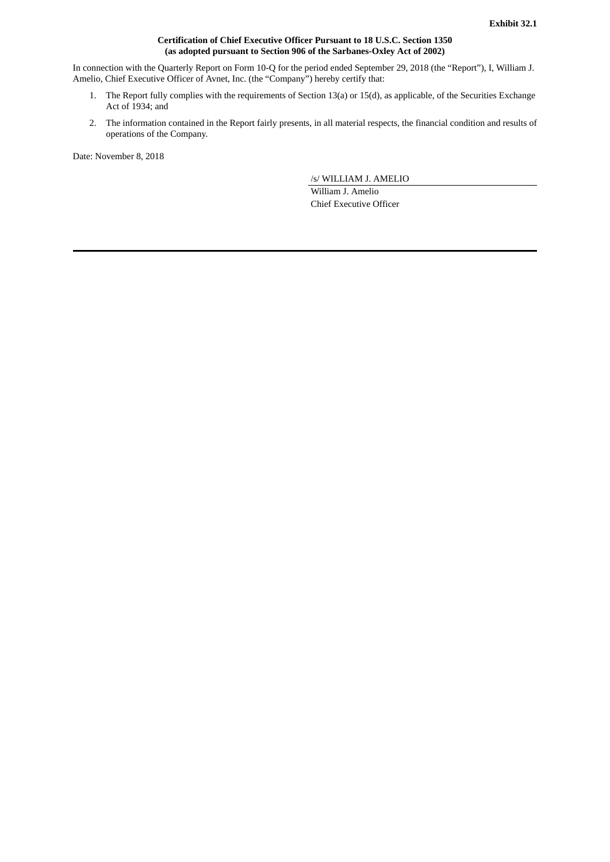# **Certification of Chief Executive Officer Pursuant to 18 U.S.C. Section 1350 (as adopted pursuant to Section 906 of the Sarbanes-Oxley Act of 2002)**

<span id="page-34-0"></span>In connection with the Quarterly Report on Form 10-Q for the period ended September 29, 2018 (the "Report"), I, William J. Amelio, Chief Executive Officer of Avnet, Inc. (the "Company") hereby certify that:

- 1. The Report fully complies with the requirements of Section 13(a) or 15(d), as applicable, of the Securities Exchange Act of 1934; and
- 2. The information contained in the Report fairly presents, in all material respects, the financial condition and results of operations of the Company.

Date: November 8, 2018

/s/ WILLIAM J. AMELIO

William J. Amelio Chief Executive Officer